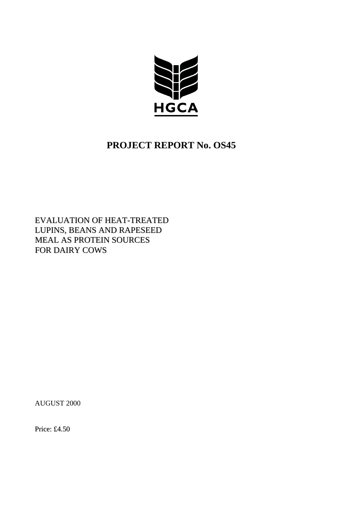

# **PROJECT REPORT No. OS45**

EVALUATION OF HEAT-TREATED LUPINS, BEANS AND RAPESEED MEAL AS PROTEIN SOURCES FOR DAIRY COWS

AUGUST 2000

Price: £4.50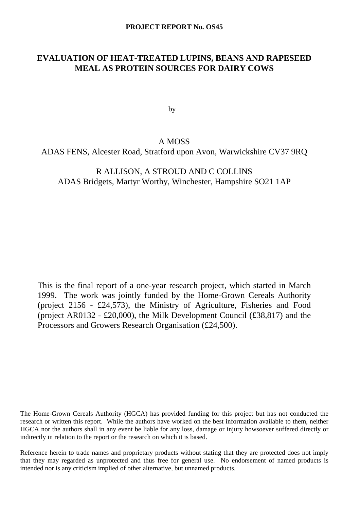# **EVALUATION OF HEAT-TREATED LUPINS, BEANS AND RAPESEED MEAL AS PROTEIN SOURCES FOR DAIRY COWS**

by

# A MOSS

ADAS FENS, Alcester Road, Stratford upon Avon, Warwickshire CV37 9RQ

# R ALLISON, A STROUD AND C COLLINS ADAS Bridgets, Martyr Worthy, Winchester, Hampshire SO21 1AP

This is the final report of a one-year research project, which started in March 1999. The work was jointly funded by the Home-Grown Cereals Authority (project 2156 - £24,573), the Ministry of Agriculture, Fisheries and Food (project AR0132 - £20,000), the Milk Development Council (£38,817) and the Processors and Growers Research Organisation (£24,500).

The Home-Grown Cereals Authority (HGCA) has provided funding for this project but has not conducted the research or written this report. While the authors have worked on the best information available to them, neither HGCA nor the authors shall in any event be liable for any loss, damage or injury howsoever suffered directly or indirectly in relation to the report or the research on which it is based.

Reference herein to trade names and proprietary products without stating that they are protected does not imply that they may regarded as unprotected and thus free for general use. No endorsement of named products is intended nor is any criticism implied of other alternative, but unnamed products.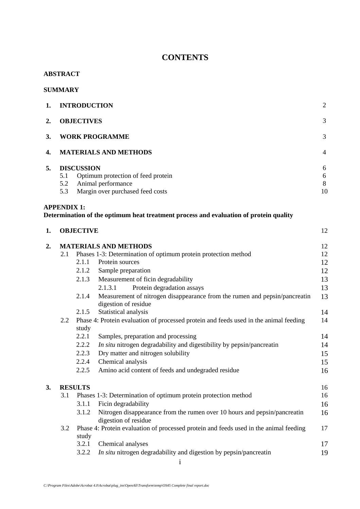# **CONTENTS**

# **ABSTRACT**

# **SUMMARY**

| 1. |     | <b>INTRODUCTION</b>                | 2              |
|----|-----|------------------------------------|----------------|
| 2. |     | <b>OBJECTIVES</b>                  | 3              |
| 3. |     | <b>WORK PROGRAMME</b>              | 3              |
| 4. |     | <b>MATERIALS AND METHODS</b>       | $\overline{4}$ |
| 5. |     | <b>DISCUSSION</b>                  | 6              |
|    | 5.1 | Optimum protection of feed protein | 6              |
|    | 5.2 | Animal performance                 | 8              |
|    | 5.3 | Margin over purchased feed costs   | 10             |
|    |     |                                    |                |

# **APPENDIX 1:**

# **Determination of the optimum heat treatment process and evaluation of protein quality**

| 1. | <b>OBJECTIVE</b> |                |                                                                                                    |    |  |
|----|------------------|----------------|----------------------------------------------------------------------------------------------------|----|--|
| 2. |                  |                | <b>MATERIALS AND METHODS</b>                                                                       | 12 |  |
|    | 2.1              |                | Phases 1-3: Determination of optimum protein protection method                                     | 12 |  |
|    |                  | 2.1.1          | Protein sources                                                                                    | 12 |  |
|    |                  | 2.1.2          | Sample preparation                                                                                 | 12 |  |
|    |                  | 2.1.3          | Measurement of ficin degradability                                                                 | 13 |  |
|    |                  |                | Protein degradation assays<br>2.1.3.1                                                              | 13 |  |
|    |                  | 2.1.4          | Measurement of nitrogen disappearance from the rumen and pepsin/pancreatin<br>digestion of residue | 13 |  |
|    |                  | 2.1.5          | Statistical analysis                                                                               | 14 |  |
|    | $2.2\,$          |                | Phase 4: Protein evaluation of processed protein and feeds used in the animal feeding              | 14 |  |
|    |                  | study          |                                                                                                    |    |  |
|    |                  | 2.2.1          | Samples, preparation and processing                                                                | 14 |  |
|    |                  | 2.2.2          | In situ nitrogen degradability and digestibility by pepsin/pancreatin                              | 14 |  |
|    |                  | 2.2.3          | Dry matter and nitrogen solubility                                                                 | 15 |  |
|    |                  | 2.2.4          | Chemical analysis                                                                                  | 15 |  |
|    |                  | 2.2.5          | Amino acid content of feeds and undegraded residue                                                 | 16 |  |
| 3. |                  | <b>RESULTS</b> |                                                                                                    | 16 |  |
|    | 3.1              |                | Phases 1-3: Determination of optimum protein protection method                                     | 16 |  |
|    |                  | 3.1.1          | Ficin degradability                                                                                | 16 |  |
|    |                  | 3.1.2          | Nitrogen disappearance from the rumen over 10 hours and pepsin/pancreatin<br>digestion of residue  | 16 |  |
|    | 3.2              |                | Phase 4: Protein evaluation of processed protein and feeds used in the animal feeding              | 17 |  |
|    |                  | study          |                                                                                                    |    |  |
|    |                  | 3.2.1          | Chemical analyses                                                                                  | 17 |  |
|    |                  | 3.2.2          | In situ nitrogen degradability and digestion by pepsin/pancreatin                                  | 19 |  |
|    |                  |                |                                                                                                    |    |  |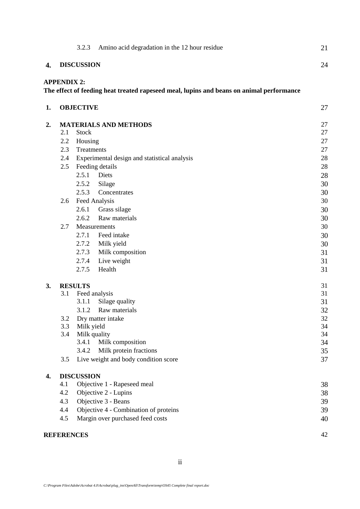|    |                    | 3.2.3             | Amino acid degradation in the 12 hour residue                                            | 21 |
|----|--------------------|-------------------|------------------------------------------------------------------------------------------|----|
| 4. |                    | <b>DISCUSSION</b> |                                                                                          | 24 |
|    | <b>APPENDIX 2:</b> |                   |                                                                                          |    |
|    |                    |                   | The effect of feeding heat treated rapeseed meal, lupins and beans on animal performance |    |
| 1. |                    | <b>OBJECTIVE</b>  |                                                                                          | 27 |
| 2. |                    |                   | <b>MATERIALS AND METHODS</b>                                                             | 27 |
|    | 2.1                | <b>Stock</b>      |                                                                                          | 27 |
|    | 2.2                | Housing           |                                                                                          | 27 |
|    | 2.3                | Treatments        |                                                                                          | 27 |
|    | 2.4                |                   | Experimental design and statistical analysis                                             | 28 |
|    | 2.5                |                   | Feeding details                                                                          | 28 |
|    |                    | 2.5.1             | Diets                                                                                    | 28 |
|    |                    | 2.5.2             | Silage                                                                                   | 30 |
|    |                    | 2.5.3             | Concentrates                                                                             | 30 |
|    | 2.6                |                   | Feed Analysis                                                                            | 30 |
|    |                    | 2.6.1             | Grass silage                                                                             | 30 |
|    |                    | 2.6.2             | Raw materials                                                                            | 30 |
|    | 2.7                |                   | Measurements                                                                             | 30 |
|    |                    | 2.7.1             | Feed intake                                                                              | 30 |
|    |                    | 2.7.2             | Milk yield                                                                               | 30 |
|    |                    | 2.7.3             | Milk composition                                                                         | 31 |
|    |                    | 2.7.4             | Live weight                                                                              | 31 |
|    |                    | 2.7.5             | Health                                                                                   | 31 |
| 3. | <b>RESULTS</b>     |                   | 31                                                                                       |    |
|    | 3.1                |                   | Feed analysis                                                                            | 31 |
|    |                    | 3.1.1             | Silage quality                                                                           | 31 |
|    |                    | 3.1.2             | Raw materials                                                                            | 32 |
|    | 3.2                |                   | Dry matter intake                                                                        | 32 |
|    | 3.3                | Milk yield        |                                                                                          | 34 |
|    | 3.4                |                   | Milk quality                                                                             | 34 |
|    |                    | 3.4.1             | Milk composition                                                                         | 34 |
|    |                    | 3.4.2             | Milk protein fractions                                                                   | 35 |
|    | 3.5                |                   | Live weight and body condition score                                                     | 37 |
| 4. |                    | <b>DISCUSSION</b> |                                                                                          |    |
|    | 4.1                |                   | Objective 1 - Rapeseed meal                                                              | 38 |
|    | 4.2                |                   | Objective 2 - Lupins                                                                     | 38 |
|    | 4.3                |                   | Objective 3 - Beans                                                                      | 39 |
|    | 4.4                |                   | Objective 4 - Combination of proteins                                                    | 39 |
|    | 4.5                |                   | Margin over purchased feed costs                                                         | 40 |
|    | <b>REFERENCES</b>  |                   |                                                                                          | 42 |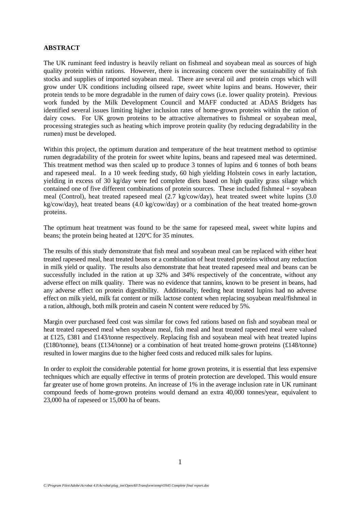#### **ABSTRACT**

The UK ruminant feed industry is heavily reliant on fishmeal and soyabean meal as sources of high quality protein within rations. However, there is increasing concern over the sustainability of fish stocks and supplies of imported soyabean meal. There are several oil and protein crops which will grow under UK conditions including oilseed rape, sweet white lupins and beans. However, their protein tends to be more degradable in the rumen of dairy cows (i.e. lower quality protein). Previous work funded by the Milk Development Council and MAFF conducted at ADAS Bridgets has identified several issues limiting higher inclusion rates of home-grown proteins within the ration of dairy cows. For UK grown proteins to be attractive alternatives to fishmeal or soyabean meal, processing strategies such as heating which improve protein quality (by reducing degradability in the rumen) must be developed.

Within this project, the optimum duration and temperature of the heat treatment method to optimise rumen degradability of the protein for sweet white lupins, beans and rapeseed meal was determined. This treatment method was then scaled up to produce 3 tonnes of lupins and 6 tonnes of both beans and rapeseed meal. In a 10 week feeding study, 60 high yielding Holstein cows in early lactation, yielding in excess of 30 kg/day were fed complete diets based on high quality grass silage which contained one of five different combinations of protein sources. These included fishmeal + soyabean meal (Control), heat treated rapeseed meal (2.7 kg/cow/day), heat treated sweet white lupins (3.0 kg/cow/day), heat treated beans (4.0 kg/cow/day) or a combination of the heat treated home-grown proteins.

The optimum heat treatment was found to be the same for rapeseed meal, sweet white lupins and beans; the protein being heated at 120ºC for 35 minutes.

The results of this study demonstrate that fish meal and soyabean meal can be replaced with either heat treated rapeseed meal, heat treated beans or a combination of heat treated proteins without any reduction in milk yield or quality. The results also demonstrate that heat treated rapeseed meal and beans can be successfully included in the ration at up 32% and 34% respectively of the concentrate, without any adverse effect on milk quality. There was no evidence that tannins, known to be present in beans, had any adverse effect on protein digestibility. Additionally, feeding heat treated lupins had no adverse effect on milk yield, milk fat content or milk lactose content when replacing soyabean meal/fishmeal in a ration, although, both milk protein and casein N content were reduced by 5%.

Margin over purchased feed cost was similar for cows fed rations based on fish and soyabean meal or heat treated rapeseed meal when soyabean meal, fish meal and heat treated rapeseed meal were valued at £125, £381 and £143/tonne respectively. Replacing fish and soyabean meal with heat treated lupins (£180/tonne), beans (£134/tonne) or a combination of heat treated home-grown proteins (£148/tonne) resulted in lower margins due to the higher feed costs and reduced milk sales for lupins.

In order to exploit the considerable potential for home grown proteins, it is essential that less expensive techniques which are equally effective in terms of protein protection are developed. This would ensure far greater use of home grown proteins. An increase of 1% in the average inclusion rate in UK ruminant compound feeds of home-grown proteins would demand an extra 40,000 tonnes/year, equivalent to 23,000 ha of rapeseed or 15,000 ha of beans.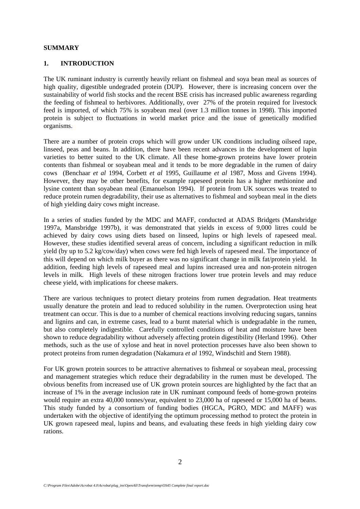#### **SUMMARY**

### **1. INTRODUCTION**

The UK ruminant industry is currently heavily reliant on fishmeal and soya bean meal as sources of high quality, digestible undegraded protein (DUP). However, there is increasing concern over the sustainability of world fish stocks and the recent BSE crisis has increased public awareness regarding the feeding of fishmeal to herbivores. Additionally, over 27% of the protein required for livestock feed is imported, of which 75% is soyabean meal (over 1.3 million tonnes in 1998). This imported protein is subject to fluctuations in world market price and the issue of genetically modified organisms.

There are a number of protein crops which will grow under UK conditions including oilseed rape, linseed, peas and beans. In addition, there have been recent advances in the development of lupin varieties to better suited to the UK climate. All these home-grown proteins have lower protein contents than fishmeal or soyabean meal and it tends to be more degradable in the rumen of dairy cows (Benchaar *et al* 1994, Corbett *et al* 1995, Guillaume *et al* 1987, Moss and Givens 1994). However, they may be other benefits, for example rapeseed protein has a higher methionine and lysine content than soyabean meal (Emanuelson 1994). If protein from UK sources was treated to reduce protein rumen degradability, their use as alternatives to fishmeal and soybean meal in the diets of high yielding dairy cows might increase.

In a series of studies funded by the MDC and MAFF, conducted at ADAS Bridgets (Mansbridge 1997a, Mansbridge 1997b), it was demonstrated that yields in excess of 9,000 litres could be achieved by dairy cows using diets based on linseed, lupins or high levels of rapeseed meal. However, these studies identified several areas of concern, including a significant reduction in milk yield (by up to 5.2 kg/cow/day) when cows were fed high levels of rapeseed meal. The importance of this will depend on which milk buyer as there was no significant change in milk fat/protein yield. In addition, feeding high levels of rapeseed meal and lupins increased urea and non-protein nitrogen levels in milk. High levels of these nitrogen fractions lower true protein levels and may reduce cheese yield, with implications for cheese makers.

There are various techniques to protect dietary proteins from rumen degradation. Heat treatments usually denature the protein and lead to reduced solubility in the rumen. Overprotection using heat treatment can occur. This is due to a number of chemical reactions involving reducing sugars, tannins and lignins and can, in extreme cases, lead to a burnt material which is undegradable in the rumen, but also completely indigestible. Carefully controlled conditions of heat and moisture have been shown to reduce degradability without adversely affecting protein digestibility (Herland 1996). Other methods, such as the use of xylose and heat in novel protection processes have also been shown to protect proteins from rumen degradation (Nakamura *et al* 1992, Windschitl and Stern 1988).

For UK grown protein sources to be attractive alternatives to fishmeal or soyabean meal, processing and management strategies which reduce their degradability in the rumen must be developed. The obvious benefits from increased use of UK grown protein sources are highlighted by the fact that an increase of 1% in the average inclusion rate in UK ruminant compound feeds of home-grown proteins would require an extra 40,000 tonnes/year, equivalent to 23,000 ha of rapeseed or 15,000 ha of beans. This study funded by a consortium of funding bodies (HGCA, PGRO, MDC and MAFF) was undertaken with the objective of identifying the optimum processing method to protect the protein in UK grown rapeseed meal, lupins and beans, and evaluating these feeds in high yielding dairy cow rations.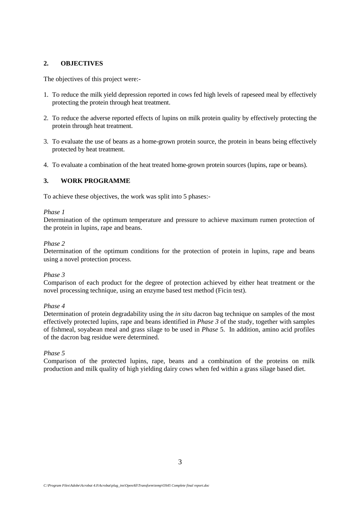## **2. OBJECTIVES**

The objectives of this project were:-

- 1. To reduce the milk yield depression reported in cows fed high levels of rapeseed meal by effectively protecting the protein through heat treatment.
- 2. To reduce the adverse reported effects of lupins on milk protein quality by effectively protecting the protein through heat treatment.
- 3. To evaluate the use of beans as a home-grown protein source, the protein in beans being effectively protected by heat treatment.
- 4. To evaluate a combination of the heat treated home-grown protein sources (lupins, rape or beans).

# **3. WORK PROGRAMME**

To achieve these objectives, the work was split into 5 phases:-

## *Phase 1*

Determination of the optimum temperature and pressure to achieve maximum rumen protection of the protein in lupins, rape and beans.

## *Phase 2*

Determination of the optimum conditions for the protection of protein in lupins, rape and beans using a novel protection process.

## *Phase 3*

Comparison of each product for the degree of protection achieved by either heat treatment or the novel processing technique, using an enzyme based test method (Ficin test).

## *Phase 4*

Determination of protein degradability using the *in situ* dacron bag technique on samples of the most effectively protected lupins, rape and beans identified in *Phase 3* of the study, together with samples of fishmeal, soyabean meal and grass silage to be used in *Phase* 5. In addition, amino acid profiles of the dacron bag residue were determined.

## *Phase 5*

Comparison of the protected lupins, rape, beans and a combination of the proteins on milk production and milk quality of high yielding dairy cows when fed within a grass silage based diet.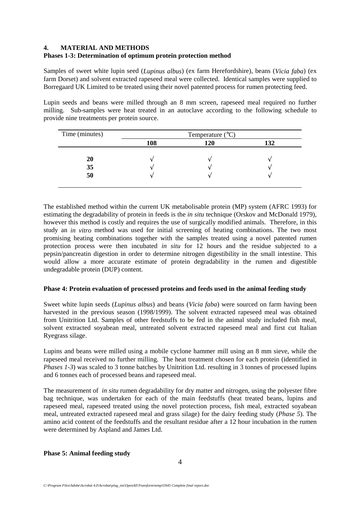## **4. MATERIAL AND METHODS**

## **Phases 1-3: Determination of optimum protein protection method**

Samples of sweet white lupin seed (*Lupinus albus*) (ex farm Herefordshire), beans (*Vicia faba*) (ex farm Dorset) and solvent extracted rapeseed meal were collected. Identical samples were supplied to Borregaard UK Limited to be treated using their novel patented process for rumen protecting feed.

Lupin seeds and beans were milled through an 8 mm screen, rapeseed meal required no further milling. Sub-samples were heat treated in an autoclave according to the following schedule to provide nine treatments per protein source.

| Time (minutes) |     | Temperature $(^{\circ}C)$ |     |
|----------------|-----|---------------------------|-----|
|                | 108 | 120                       | 132 |
| 20             |     |                           |     |
| 35             |     |                           |     |
| 50             |     |                           |     |

The established method within the current UK metabolisable protein (MP) system (AFRC 1993) for estimating the degradability of protein in feeds is the *in situ* technique (Orskov and McDonald 1979), however this method is costly and requires the use of surgically modified animals. Therefore, in this study an *in vitro* method was used for initial screening of heating combinations. The two most promising heating combinations together with the samples treated using a novel patented rumen protection process were then incubated *in situ* for 12 hours and the residue subjected to a pepsin/pancreatin digestion in order to determine nitrogen digestibility in the small intestine. This would allow a more accurate estimate of protein degradability in the rumen and digestible undegradable protein (DUP) content.

## **Phase 4: Protein evaluation of processed proteins and feeds used in the animal feeding study**

Sweet white lupin seeds (*Lupinus albus*) and beans (*Vicia faba*) were sourced on farm having been harvested in the previous season (1998/1999). The solvent extracted rapeseed meal was obtained from Unitrition Ltd. Samples of other feedstuffs to be fed in the animal study included fish meal, solvent extracted soyabean meal, untreated solvent extracted rapeseed meal and first cut Italian Ryegrass silage.

Lupins and beans were milled using a mobile cyclone hammer mill using an 8 mm sieve, while the rapeseed meal received no further milling. The heat treatment chosen for each protein (identified in *Phases 1-3*) was scaled to 3 tonne batches by Unitrition Ltd. resulting in 3 tonnes of processed lupins and 6 tonnes each of processed beans and rapeseed meal.

The measurement of *in situ* rumen degradability for dry matter and nitrogen, using the polyester fibre bag technique, was undertaken for each of the main feedstuffs (heat treated beans, lupins and rapeseed meal, rapeseed treated using the novel protection process, fish meal, extracted soyabean meal, untreated extracted rapeseed meal and grass silage) for the dairy feeding study (*Phase 5*). The amino acid content of the feedstuffs and the resultant residue after a 12 hour incubation in the rumen were determined by Aspland and James Ltd.

## **Phase 5: Animal feeding study**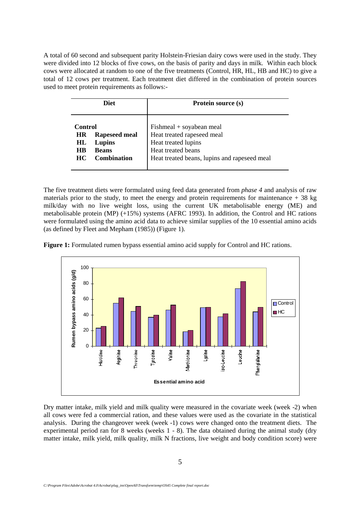A total of 60 second and subsequent parity Holstein-Friesian dairy cows were used in the study. They were divided into 12 blocks of five cows, on the basis of parity and days in milk. Within each block cows were allocated at random to one of the five treatments (Control, HR, HL, HB and HC) to give a total of 12 cows per treatment. Each treatment diet differed in the combination of protein sources used to meet protein requirements as follows:-

| <b>Diet</b>                      |                                                                      | Protein source (s)                                                                                                                                    |  |  |
|----------------------------------|----------------------------------------------------------------------|-------------------------------------------------------------------------------------------------------------------------------------------------------|--|--|
| Control<br>НR<br>НL<br>НB<br>HC. | <b>Rapeseed meal</b><br>Lupins<br><b>Beans</b><br><b>Combination</b> | $Fishmeal + soyabean meal$<br>Heat treated rapeseed meal<br>Heat treated lupins<br>Heat treated beans<br>Heat treated beans, lupins and rapeseed meal |  |  |

The five treatment diets were formulated using feed data generated from *phase 4* and analysis of raw materials prior to the study, to meet the energy and protein requirements for maintenance  $+38$  kg milk/day with no live weight loss, using the current UK metabolisable energy (ME) and metabolisable protein (MP) (+15%) systems (AFRC 1993). In addition, the Control and HC rations were formulated using the amino acid data to achieve similar supplies of the 10 essential amino acids (as defined by Fleet and Mepham (1985)) (Figure 1).

**Figure 1:** Formulated rumen bypass essential amino acid supply for Control and HC rations.



Dry matter intake, milk yield and milk quality were measured in the covariate week (week -2) when all cows were fed a commercial ration, and these values were used as the covariate in the statistical analysis. During the changeover week (week -1) cows were changed onto the treatment diets. The experimental period ran for 8 weeks (weeks 1 - 8). The data obtained during the animal study (dry matter intake, milk yield, milk quality, milk N fractions, live weight and body condition score) were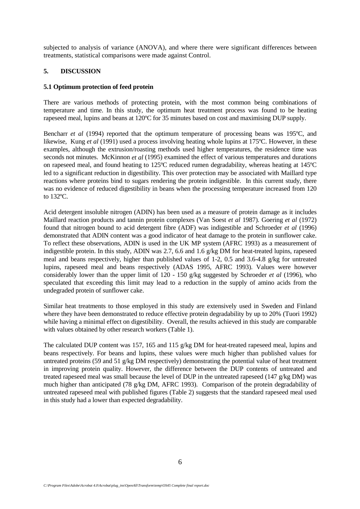subjected to analysis of variance (ANOVA), and where there were significant differences between treatments, statistical comparisons were made against Control.

# **5. DISCUSSION**

#### **5.1 Optimum protection of feed protein**

There are various methods of protecting protein, with the most common being combinations of temperature and time. In this study, the optimum heat treatment process was found to be heating rapeseed meal, lupins and beans at 120ºC for 35 minutes based on cost and maximising DUP supply.

Bencharr *et al* (1994) reported that the optimum temperature of processing beans was 195<sup>o</sup>C, and likewise, Kung *et al* (1991) used a process involving heating whole lupins at 175°C. However, in these examples, although the extrusion/roasting methods used higher temperatures, the residence time was seconds not minutes. McKinnon *et al* (1995) examined the effect of various temperatures and durations on rapeseed meal, and found heating to 125ºC reduced rumen degradability, whereas heating at 145ºC led to a significant reduction in digestibility. This over protection may be associated with Maillard type reactions where proteins bind to sugars rendering the protein indigestible. In this current study, there was no evidence of reduced digestibility in beans when the processing temperature increased from 120 to 132ºC.

Acid detergent insoluble nitrogen (ADIN) has been used as a measure of protein damage as it includes Maillard reaction products and tannin protein complexes (Van Soest *et al* 1987). Goering *et al* (1972) found that nitrogen bound to acid detergent fibre (ADF) was indigestible and Schroeder *et al* (1996) demonstrated that ADIN content was a good indicator of heat damage to the protein in sunflower cake. To reflect these observations, ADIN is used in the UK MP system (AFRC 1993) as a measurement of indigestible protein. In this study, ADIN was 2.7, 6.6 and 1.6 g/kg DM for heat-treated lupins, rapeseed meal and beans respectively, higher than published values of 1-2, 0.5 and 3.6-4.8 g/kg for untreated lupins, rapeseed meal and beans respectively (ADAS 1995, AFRC 1993). Values were however considerably lower than the upper limit of 120 - 150 g/kg suggested by Schroeder *et al* (1996), who speculated that exceeding this limit may lead to a reduction in the supply of amino acids from the undegraded protein of sunflower cake.

Similar heat treatments to those employed in this study are extensively used in Sweden and Finland where they have been demonstrated to reduce effective protein degradability by up to 20% (Tuori 1992) while having a minimal effect on digestibility. Overall, the results achieved in this study are comparable with values obtained by other research workers (Table 1).

The calculated DUP content was 157, 165 and 115 g/kg DM for heat-treated rapeseed meal, lupins and beans respectively. For beans and lupins, these values were much higher than published values for untreated proteins (59 and 51 g/kg DM respectively) demonstrating the potential value of heat treatment in improving protein quality. However, the difference between the DUP contents of untreated and treated rapeseed meal was small because the level of DUP in the untreated rapeseed (147 g/kg DM) was much higher than anticipated (78 g/kg DM, AFRC 1993). Comparison of the protein degradability of untreated rapeseed meal with published figures (Table 2) suggests that the standard rapeseed meal used in this study had a lower than expected degradability.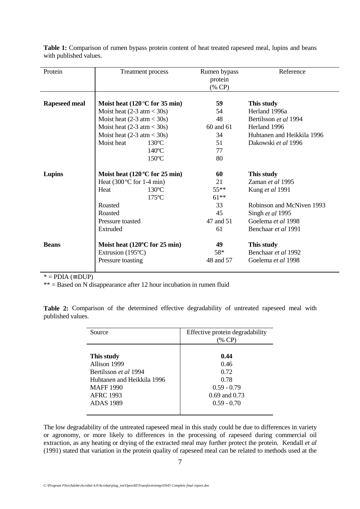| Protein              | Treatment process                            |                 | Rumen bypass<br>protein<br>$(\%$ CP) | Reference                  |
|----------------------|----------------------------------------------|-----------------|--------------------------------------|----------------------------|
| <b>Rapeseed meal</b> | Moist heat $(120\degree C)$ for 35 min)      |                 | 59                                   | This study                 |
|                      | Moist heat $(2-3 \text{ atm} < 30 \text{s})$ |                 | 54                                   | Herland 1996a              |
|                      | Moist heat $(2-3 \text{ atm} < 30 \text{s})$ |                 | 48                                   | Bertilsson et al 1994      |
|                      | Moist heat $(2-3 \text{ atm} < 30 \text{s})$ |                 | 60 and 61                            | Herland 1996               |
|                      | Moist heat $(2-3 \text{ atm} < 30 \text{s})$ |                 | 34                                   | Huhtanen and Heikkila 1996 |
|                      | Moist heat<br>$130^{\circ}$ C                |                 | 51                                   | Dakowski et al 1996        |
|                      |                                              | $140^{\circ}$ C | 77                                   |                            |
|                      | 150°C                                        |                 | 80                                   |                            |
| Lupins               | Moist heat $(120\degree C)$ for 25 min)      |                 | 60                                   | This study                 |
|                      | Heat $(300^{\circ}C$ for 1-4 min)            |                 | 21                                   | Zaman et al 1995           |
|                      | $130^{\circ}$ C<br>Heat                      |                 | $55***$                              | Kung et al 1991            |
|                      | $175^{\circ}$ C                              |                 | $61***$                              |                            |
|                      | Roasted                                      |                 | 33                                   | Robinson and McNiven 1993  |
|                      | Roasted                                      |                 | 45                                   | Singh et al 1995           |
|                      | Pressure toasted                             |                 | 47 and 51                            | Goelema et al 1998         |
|                      | Extruded                                     |                 | 61                                   | Benchaar <i>et al</i> 1991 |
| <b>Beans</b>         | Moist heat $(120^{\circ}$ C for 25 min)      |                 | 49                                   | This study                 |
|                      | Extrusion (195°C)                            |                 | $58*$                                | Benchaar et al 1992        |
|                      | Pressure toasting                            |                 | 48 and 57                            | Goelema et al 1998         |

**Table 1:** Comparison of rumen bypass protein content of heat treated rapeseed meal, lupins and beans with published values.

 $* = PDIA (= DUP)$ 

 $** =$  Based on N disappearance after 12 hour incubation in rumen fluid

**Table 2:** Comparison of the determined effective degradability of untreated rapeseed meal with published values.

| Source                                                                                                                                               | Effective protein degradability<br>(% CP)                                           |
|------------------------------------------------------------------------------------------------------------------------------------------------------|-------------------------------------------------------------------------------------|
| This study<br>Allison 1999<br>Bertilsson <i>et al</i> 1994<br>Huhtanen and Heikkila 1996<br><b>MAFF</b> 1990<br><b>AFRC 1993</b><br><b>ADAS</b> 1989 | 0.44<br>0.46<br>0.72<br>0.78<br>$0.59 - 0.79$<br>$0.69$ and $0.73$<br>$0.59 - 0.70$ |
|                                                                                                                                                      |                                                                                     |

The low degradability of the untreated rapeseed meal in this study could be due to differences in variety or agronomy, or more likely to differences in the processing of rapeseed during commercial oil extraction, as any heating or drying of the extracted meal may further protect the protein. Kendall *et al* (1991) stated that variation in the protein quality of rapeseed meal can be related to methods used at the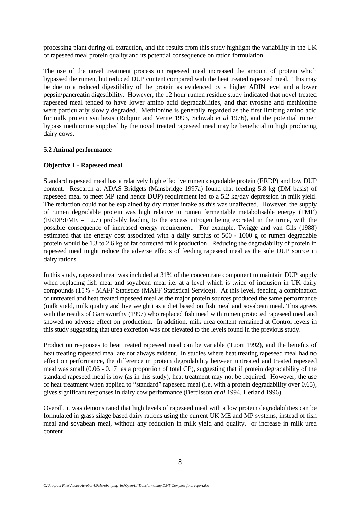processing plant during oil extraction, and the results from this study highlight the variability in the UK of rapeseed meal protein quality and its potential consequence on ration formulation.

The use of the novel treatment process on rapeseed meal increased the amount of protein which bypassed the rumen, but reduced DUP content compared with the heat treated rapeseed meal. This may be due to a reduced digestibility of the protein as evidenced by a higher ADIN level and a lower pepsin/pancreatin digestibility. However, the 12 hour rumen residue study indicated that novel treated rapeseed meal tended to have lower amino acid degradabilities, and that tyrosine and methionine were particularly slowly degraded. Methionine is generally regarded as the first limiting amino acid for milk protein synthesis (Rulquin and Verite 1993, Schwab *et al* 1976), and the potential rumen bypass methionine supplied by the novel treated rapeseed meal may be beneficial to high producing dairy cows.

#### **5.2 Animal performance**

#### **Objective 1 - Rapeseed meal**

Standard rapeseed meal has a relatively high effective rumen degradable protein (ERDP) and low DUP content. Research at ADAS Bridgets (Mansbridge 1997a) found that feeding 5.8 kg (DM basis) of rapeseed meal to meet MP (and hence DUP) requirement led to a 5.2 kg/day depression in milk yield. The reduction could not be explained by dry matter intake as this was unaffected. However, the supply of rumen degradable protein was high relative to rumen fermentable metabolisable energy (FME) (ERDP:FME = 12.7) probably leading to the excess nitrogen being excreted in the urine, with the possible consequence of increased energy requirement. For example, Twigge and van Gils (1988) estimated that the energy cost associated with a daily surplus of  $\overline{500}$  -  $1000$  g of rumen degradable protein would be 1.3 to 2.6 kg of fat corrected milk production. Reducing the degradability of protein in rapeseed meal might reduce the adverse effects of feeding rapeseed meal as the sole DUP source in dairy rations.

In this study, rapeseed meal was included at 31% of the concentrate component to maintain DUP supply when replacing fish meal and soyabean meal i.e. at a level which is twice of inclusion in UK dairy compounds (15% - MAFF Statistics (MAFF Statistical Service)). At this level, feeding a combination of untreated and heat treated rapeseed meal as the major protein sources produced the same performance (milk yield, milk quality and live weight) as a diet based on fish meal and soyabean meal. This agrees with the results of Garnsworthy (1997) who replaced fish meal with rumen protected rapeseed meal and showed no adverse effect on production. In addition, milk urea content remained at Control levels in this study suggesting that urea excretion was not elevated to the levels found in the previous study.

Production responses to heat treated rapeseed meal can be variable (Tuori 1992), and the benefits of heat treating rapeseed meal are not always evident. In studies where heat treating rapeseed meal had no effect on performance, the difference in protein degradability between untreated and treated rapeseed meal was small (0.06 - 0.17 as a proportion of total CP), suggesting that if protein degradability of the standard rapeseed meal is low (as in this study), heat treatment may not be required. However, the use of heat treatment when applied to "standard" rapeseed meal (i.e. with a protein degradability over 0.65), gives significant responses in dairy cow performance (Bertilsson *et al* 1994, Herland 1996).

Overall, it was demonstrated that high levels of rapeseed meal with a low protein degradabilities can be formulated in grass silage based dairy rations using the current UK ME and MP systems, instead of fish meal and soyabean meal, without any reduction in milk yield and quality, or increase in milk urea content.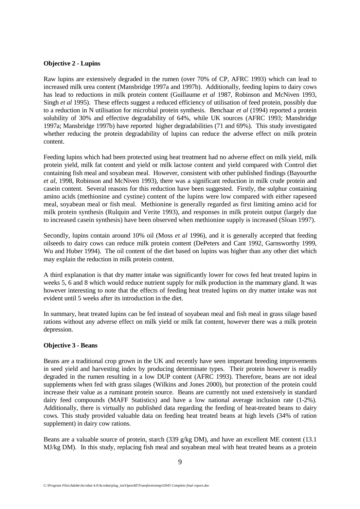## **Objective 2 - Lupins**

Raw lupins are extensively degraded in the rumen (over 70% of CP, AFRC 1993) which can lead to increased milk urea content (Mansbridge 1997a and 1997b). Additionally, feeding lupins to dairy cows has lead to reductions in milk protein content (Guillaume *et al* 1987, Robinson and McNiven 1993, Singh *et al* 1995). These effects suggest a reduced efficiency of utilisation of feed protein, possibly due to a reduction in N utilisation for microbial protein synthesis. Benchaar *et al* (1994) reported a protein solubility of 30% and effective degradability of 64%, while UK sources (AFRC 1993; Mansbridge 1997a; Mansbridge 1997b) have reported higher degradabilities (71 and 69%). This study investigated whether reducing the protein degradability of lupins can reduce the adverse effect on milk protein content.

Feeding lupins which had been protected using heat treatment had no adverse effect on milk yield, milk protein yield, milk fat content and yield or milk lactose content and yield compared with Control diet containing fish meal and soyabean meal. However, consistent with other published findings (Bayourthe *et al,* 1998, Robinson and McNiven 1993), there was a significant reduction in milk crude protein and casein content. Several reasons for this reduction have been suggested. Firstly, the sulphur containing amino acids (methionine and cystine) content of the lupins were low compared with either rapeseed meal, soyabean meal or fish meal. Methionine is generally regarded as first limiting amino acid for milk protein synthesis (Rulquin and Verite 1993), and responses in milk protein output (largely due to increased casein synthesis) have been observed when methionine supply is increased (Sloan 1997).

Secondly, lupins contain around 10% oil (Moss *et al* 1996), and it is generally accepted that feeding oilseeds to dairy cows can reduce milk protein content (DePeters and Cant 1992, Garnsworthy 1999, Wu and Huber 1994). The oil content of the diet based on lupins was higher than any other diet which may explain the reduction in milk protein content.

A third explanation is that dry matter intake was significantly lower for cows fed heat treated lupins in weeks 5, 6 and 8 which would reduce nutrient supply for milk production in the mammary gland. It was however interesting to note that the effects of feeding heat treated lupins on dry matter intake was not evident until 5 weeks after its introduction in the diet.

In summary, heat treated lupins can be fed instead of soyabean meal and fish meal in grass silage based rations without any adverse effect on milk yield or milk fat content, however there was a milk protein depression.

# **Objective 3 - Beans**

Beans are a traditional crop grown in the UK and recently have seen important breeding improvements in seed yield and harvesting index by producing determinate types. Their protein however is readily degraded in the rumen resulting in a low DUP content (AFRC 1993). Therefore, beans are not ideal supplements when fed with grass silages (Wilkins and Jones 2000), but protection of the protein could increase their value as a ruminant protein source. Beans are currently not used extensively in standard dairy feed compounds (MAFF Statistics) and have a low national average inclusion rate (1-2%). Additionally, there is virtually no published data regarding the feeding of heat-treated beans to dairy cows. This study provided valuable data on feeding heat treated beans at high levels (34% of ration supplement) in dairy cow rations.

Beans are a valuable source of protein, starch (339 g/kg DM), and have an excellent ME content (13.1 MJ/kg DM). In this study, replacing fish meal and soyabean meal with heat treated beans as a protein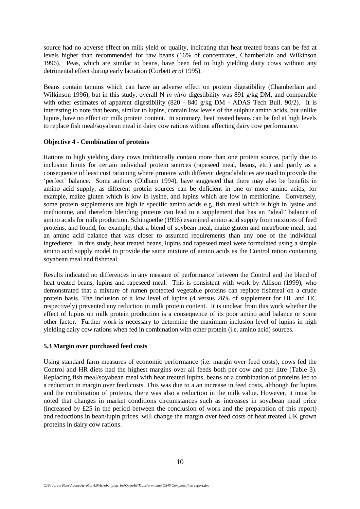source had no adverse effect on milk yield or quality, indicating that heat treated beans can be fed at levels higher than recommended for raw beans (16% of concentrates, Chamberlain and Wilkinson 1996). Peas, which are similar to beans, have been fed to high yielding dairy cows without any detrimental effect during early lactation (Corbett *et al* 1995).

Beans contain tannins which can have an adverse effect on protein digestibility (Chamberlain and Wilkinson 1996), but in this study, overall N *in vitro* digestibility was 891 g/kg DM, and comparable with other estimates of apparent digestibility (820 - 840 g/kg DM - ADAS Tech Bull. 90/2). It is interesting to note that beans, similar to lupins, contain low levels of the sulphur amino acids, but unlike lupins, have no effect on milk protein content. In summary, heat treated beans can be fed at high levels to replace fish meal/soyabean meal in dairy cow rations without affecting dairy cow performance.

## **Objective 4 - Combination of proteins**

Rations to high yielding dairy cows traditionally contain more than one protein source, partly due to inclusion limits for certain individual protein sources (rapeseed meal, beans, etc.) and partly as a consequence of least cost rationing where proteins with different degradabilities are used to provide the 'perfect' balance. Some authors (Oldham 1994), have suggested that there may also be benefits in amino acid supply, as different protein sources can be deficient in one or more amino acids, for example, maize gluten which is low in lysine, and lupins which are low in methionine. Conversely, some protein supplements are high in specific amino acids e.g. fish meal which is high in lysine and methionine, and therefore blending proteins can lead to a supplement that has an "ideal" balance of amino acids for milk production. Schingoethe (1996) examined amino acid supply from mixtures of feed proteins, and found, for example, that a blend of soybean meal, maize gluten and meat/bone meal, had an amino acid balance that was closer to assumed requirements than any one of the individual ingredients. In this study, heat treated beans, lupins and rapeseed meal were formulated using a simple amino acid supply model to provide the same mixture of amino acids as the Control ration containing soyabean meal and fishmeal.

Results indicated no differences in any measure of performance between the Control and the blend of heat treated beans, lupins and rapeseed meal. This is consistent with work by Allison (1999), who demonstrated that a mixture of rumen protected vegetable proteins can replace fishmeal on a crude protein basis. The inclusion of a low level of lupins (4 versus 26% of supplement for HL and HC respectively) prevented any reduction in milk protein content. It is unclear from this work whether the effect of lupins on milk protein production is a consequence of its poor amino acid balance or some other factor. Further work is necessary to determine the maximum inclusion level of lupins in high yielding dairy cow rations when fed in combination with other protein (i.e. amino acid) sources.

## **5.3 Margin over purchased feed costs**

Using standard farm measures of economic performance (i.e. margin over feed costs), cows fed the Control and HR diets had the highest margins over all feeds both per cow and per litre (Table 3). Replacing fish meal/soyabean meal with heat treated lupins, beans or a combination of proteins led to a reduction in margin over feed costs. This was due to a an increase in feed costs, although for lupins and the combination of proteins, there was also a reduction in the milk value. However, it must be noted that changes in market conditions circumstances such as increases in soyabean meal price (increased by £25 in the period between the conclusion of work and the preparation of this report) and reductions in bean/lupin prices, will change the margin over feed costs of heat treated UK grown proteins in dairy cow rations.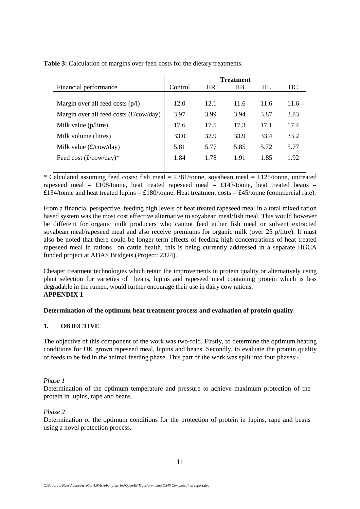**Table 3:** Calculation of margins over feed costs for the dietary treatments.

|                                          |         |           | <b>Treatment</b> |      |      |
|------------------------------------------|---------|-----------|------------------|------|------|
| Financial performance                    | Control | <b>HR</b> | <b>HB</b>        | HL   | HC.  |
|                                          |         |           |                  |      |      |
| Margin over all feed costs $(p/l)$       | 12.0    | 12.1      | 11.6             | 11.6 | 11.6 |
| Margin over all feed costs $(f/cow/day)$ | 3.97    | 3.99      | 3.94             | 3.87 | 3.83 |
| Milk value (p/litre)                     | 17.6    | 17.5      | 17.3             | 17.1 | 17.4 |
| Milk volume (litres)                     | 33.0    | 32.9      | 33.9             | 33.4 | 33.2 |
| Milk value $(\pounds/cow/day)$           | 5.81    | 5.77      | 5.85             | 5.72 | 5.77 |
| Feed cost $(\pounds/cow/day)^*$          | 1.84    | 1.78      | 1.91             | 1.85 | 1.92 |
|                                          |         |           |                  |      |      |

\* Calculated assuming feed costs: fish meal =  $\pounds 381$ /tonne, soyabean meal =  $\pounds 125$ /tonne, untreated rapeseed meal =  $\text{\pounds}108$ /tonne, heat treated rapeseed meal =  $\text{\pounds}143$ /tonne, heat treated beans = £134/tonne and heat treated lupins = £180/tonne. Heat treatment costs = £45/tonne (commercial rate).

From a financial perspective, feeding high levels of heat treated rapeseed meal in a total mixed ration based system was the most cost effective alternative to soyabean meal/fish meal. This would however be different for organic milk producers who cannot feed either fish meal or solvent extracted soyabean meal/rapeseed meal and also receive premiums for organic milk (over 25 p/litre). It must also be noted that there could be longer term effects of feeding high concentrations of heat treated rapeseed meal in rations on cattle health, this is being currently addressed in a separate HGCA funded project at ADAS Bridgets (Project: 2324).

Cheaper treatment technologies which retain the improvements in protein quality or alternatively using plant selection for varieties of beans, lupins and rapeseed meal containing protein which is less degradable in the rumen, would further encourage their use in dairy cow rations. **APPENDIX 1**

## **Determination of the optimum heat treatment process and evaluation of protein quality**

# **1. OBJECTIVE**

The objective of this component of the work was two-fold. Firstly, to determine the optimum heating conditions for UK grown rapeseed meal, lupins and beans. Secondly, to evaluate the protein quality of feeds to be fed in the animal feeding phase. This part of the work was split into four phases:-

## *Phase 1*

Determination of the optimum temperature and pressure to achieve maximum protection of the protein in lupins, rape and beans.

## *Phase 2*

Determination of the optimum conditions for the protection of protein in lupins, rape and beans using a novel protection process.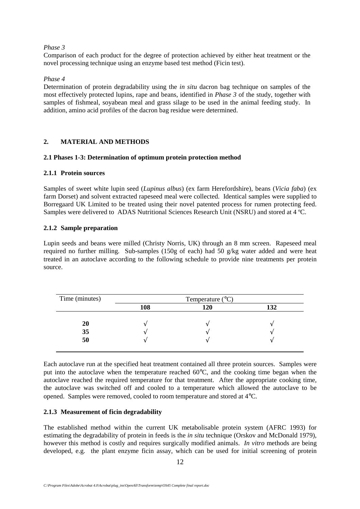### *Phase 3*

Comparison of each product for the degree of protection achieved by either heat treatment or the novel processing technique using an enzyme based test method (Ficin test).

## *Phase 4*

Determination of protein degradability using the *in situ* dacron bag technique on samples of the most effectively protected lupins, rape and beans, identified in *Phase 3* of the study, together with samples of fishmeal, soyabean meal and grass silage to be used in the animal feeding study. In addition, amino acid profiles of the dacron bag residue were determined.

## **2. MATERIAL AND METHODS**

## **2.1 Phases 1-3: Determination of optimum protein protection method**

## **2.1.1 Protein sources**

Samples of sweet white lupin seed (*Lupinus albus*) (ex farm Herefordshire), beans (*Vicia faba*) (ex farm Dorset) and solvent extracted rapeseed meal were collected. Identical samples were supplied to Borregaard UK Limited to be treated using their novel patented process for rumen protecting feed. Samples were delivered to ADAS Nutritional Sciences Research Unit (NSRU) and stored at 4 ºC.

## **2.1.2 Sample preparation**

Lupin seeds and beans were milled (Christy Norris, UK) through an 8 mm screen. Rapeseed meal required no further milling. Sub-samples (150g of each) had 50  $g/kg$  water added and were heat treated in an autoclave according to the following schedule to provide nine treatments per protein source.

| Time (minutes) |     | Temperature $(^{\circ}C)$ |     |
|----------------|-----|---------------------------|-----|
|                | 108 | 120                       | 132 |
| 20             |     |                           |     |
| 35             |     |                           |     |
| 50             |     |                           |     |

Each autoclave run at the specified heat treatment contained all three protein sources. Samples were put into the autoclave when the temperature reached 60°C, and the cooking time began when the autoclave reached the required temperature for that treatment. After the appropriate cooking time, the autoclave was switched off and cooled to a temperature which allowed the autoclave to be opened. Samples were removed, cooled to room temperature and stored at 4°C.

## **2.1.3 Measurement of ficin degradability**

The established method within the current UK metabolisable protein system (AFRC 1993) for estimating the degradability of protein in feeds is the *in situ* technique (Orskov and McDonald 1979), however this method is costly and requires surgically modified animals. *In vitro* methods are being developed, e.g. the plant enzyme ficin assay, which can be used for initial screening of protein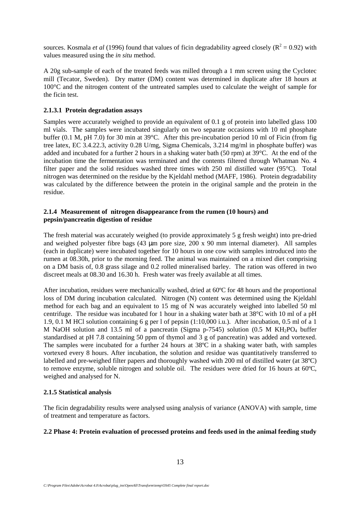sources. Kosmala *et al* (1996) found that values of ficin degradability agreed closely ( $R^2 = 0.92$ ) with values measured using the *in situ* method.

A 20g sub-sample of each of the treated feeds was milled through a 1 mm screen using the Cyclotec mill (Tecator, Sweden). Dry matter (DM) content was determined in duplicate after 18 hours at 100°C and the nitrogen content of the untreated samples used to calculate the weight of sample for the ficin test.

## **2.1.3.1 Protein degradation assays**

Samples were accurately weighed to provide an equivalent of 0.1 g of protein into labelled glass 100 ml vials. The samples were incubated singularly on two separate occasions with 10 ml phosphate buffer (0.1 M, pH 7.0) for 30 min at 39°C. After this pre-incubation period 10 ml of Ficin (from fig tree latex, EC 3.4.22.3, activity 0.28 U/mg, Sigma Chemicals, 3.214 mg/ml in phosphate buffer) was added and incubated for a further 2 hours in a shaking water bath (50 rpm) at 39°C. At the end of the incubation time the fermentation was terminated and the contents filtered through Whatman No. 4 filter paper and the solid residues washed three times with 250 ml distilled water (95°C). Total nitrogen was determined on the residue by the Kjeldahl method (MAFF, 1986). Protein degradability was calculated by the difference between the protein in the original sample and the protein in the residue.

## **2.1.4 Measurement of nitrogen disappearance from the rumen (10 hours) and pepsin/pancreatin digestion of residue**

The fresh material was accurately weighed (to provide approximately 5 g fresh weight) into pre-dried and weighed polyester fibre bags (43 µm pore size, 200 x 90 mm internal diameter). All samples (each in duplicate) were incubated together for 10 hours in one cow with samples introduced into the rumen at 08.30h, prior to the morning feed. The animal was maintained on a mixed diet comprising on a DM basis of, 0.8 grass silage and 0.2 rolled mineralised barley. The ration was offered in two discreet meals at 08.30 and 16.30 h. Fresh water was freely available at all times.

After incubation, residues were mechanically washed, dried at 60ºC for 48 hours and the proportional loss of DM during incubation calculated. Nitrogen (N) content was determined using the Kjeldahl method for each bag and an equivalent to 15 mg of N was accurately weighed into labelled 50 ml centrifuge. The residue was incubated for 1 hour in a shaking water bath at 38°C with 10 ml of a pH 1.9, 0.1 M HCl solution containing 6 g per l of pepsin (1:10,000 i.u.). After incubation, 0.5 ml of a 1 M NaOH solution and 13.5 ml of a pancreatin (Sigma p-7545) solution (0.5 M  $KH_2PO_4$  buffer standardised at pH 7.8 containing 50 ppm of thymol and 3 g of pancreatin) was added and vortexed. The samples were incubated for a further 24 hours at 38ºC in a shaking water bath, with samples vortexed every 8 hours. After incubation, the solution and residue was quantitatively transferred to labelled and pre-weighed filter papers and thoroughly washed with 200 ml of distilled water (at 38ºC) to remove enzyme, soluble nitrogen and soluble oil. The residues were dried for 16 hours at 60ºC, weighed and analysed for N.

# **2.1.5 Statistical analysis**

The ficin degradability results were analysed using analysis of variance (ANOVA) with sample, time of treatment and temperature as factors.

# **2.2 Phase 4: Protein evaluation of processed proteins and feeds used in the animal feeding study**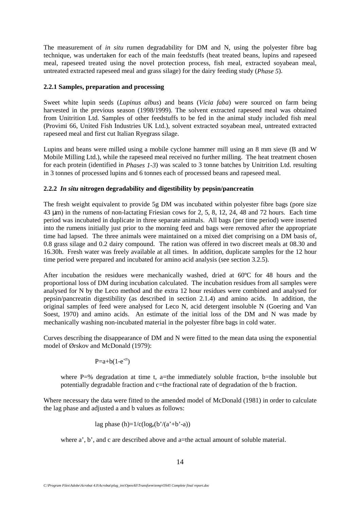The measurement of *in situ* rumen degradability for DM and N, using the polyester fibre bag technique, was undertaken for each of the main feedstuffs (heat treated beans, lupins and rapeseed meal, rapeseed treated using the novel protection process, fish meal, extracted soyabean meal, untreated extracted rapeseed meal and grass silage) for the dairy feeding study (*Phase 5*).

## **2.2.1 Samples, preparation and processing**

Sweet white lupin seeds (*Lupinus albus*) and beans (*Vicia faba*) were sourced on farm being harvested in the previous season (1998/1999). The solvent extracted rapeseed meal was obtained from Unitrition Ltd. Samples of other feedstuffs to be fed in the animal study included fish meal (Provimi 66, United Fish Industries UK Ltd.), solvent extracted soyabean meal, untreated extracted rapeseed meal and first cut Italian Ryegrass silage.

Lupins and beans were milled using a mobile cyclone hammer mill using an 8 mm sieve (B and W Mobile Milling Ltd.), while the rapeseed meal received no further milling. The heat treatment chosen for each protein (identified in *Phases 1-3*) was scaled to 3 tonne batches by Unitrition Ltd. resulting in 3 tonnes of processed lupins and 6 tonnes each of processed beans and rapeseed meal.

# **2.2.2** *In situ* **nitrogen degradability and digestibility by pepsin/pancreatin**

The fresh weight equivalent to provide 5g DM was incubated within polyester fibre bags (pore size 43 µm) in the rumens of non-lactating Friesian cows for 2, 5, 8, 12, 24, 48 and 72 hours. Each time period was incubated in duplicate in three separate animals. All bags (per time period) were inserted into the rumens initially just prior to the morning feed and bags were removed after the appropriate time had lapsed. The three animals were maintained on a mixed diet comprising on a DM basis of, 0.8 grass silage and 0.2 dairy compound. The ration was offered in two discreet meals at 08.30 and 16.30h. Fresh water was freely available at all times. In addition, duplicate samples for the 12 hour time period were prepared and incubated for amino acid analysis (see section 3.2.5).

After incubation the residues were mechanically washed, dried at 60ºC for 48 hours and the proportional loss of DM during incubation calculated. The incubation residues from all samples were analysed for N by the Leco method and the extra 12 hour residues were combined and analysed for pepsin/pancreatin digestibility (as described in section 2.1.4) and amino acids. In addition, the original samples of feed were analysed for Leco N, acid detergent insoluble N (Goering and Van Soest, 1970) and amino acids. An estimate of the initial loss of the DM and N was made by mechanically washing non-incubated material in the polyester fibre bags in cold water.

Curves describing the disappearance of DM and N were fitted to the mean data using the exponential model of Ørskov and McDonald (1979):

 $P=a+b(1-e^{-ct})$ 

where P=% degradation at time t, a=the immediately soluble fraction, b=the insoluble but potentially degradable fraction and c=the fractional rate of degradation of the b fraction.

Where necessary the data were fitted to the amended model of McDonald (1981) in order to calculate the lag phase and adjusted a and b values as follows:

lag phase (h)=
$$
1/c(log_e(b)/(a'+b'-a))
$$

where a', b', and c are described above and a=the actual amount of soluble material.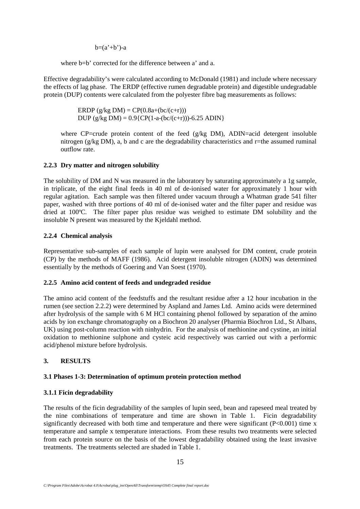$b=(a'+b')-a$ 

where b=b' corrected for the difference between a' and a.

Effective degradability's were calculated according to McDonald (1981) and include where necessary the effects of lag phase. The ERDP (effective rumen degradable protein) and digestible undegradable protein (DUP) contents were calculated from the polyester fibre bag measurements as follows:

> ERDP  $(g/kg DM) = CP(0.8a+(bc/(c+r)))$ DUP (g/kg DM) =  $0.9$ {CP(1-a-(bc/(c+r)))-6.25 ADIN}

where CP=crude protein content of the feed  $(g/kg DM)$ , ADIN=acid detergent insoluble nitrogen (g/kg DM), a, b and c are the degradability characteristics and r=the assumed ruminal outflow rate.

# **2.2.3 Dry matter and nitrogen solubility**

The solubility of DM and N was measured in the laboratory by saturating approximately a 1g sample, in triplicate, of the eight final feeds in 40 ml of de-ionised water for approximately 1 hour with regular agitation. Each sample was then filtered under vacuum through a Whatman grade 541 filter paper, washed with three portions of 40 ml of de-ionised water and the filter paper and residue was dried at 100ºC. The filter paper plus residue was weighed to estimate DM solubility and the insoluble N present was measured by the Kjeldahl method.

## **2.2.4 Chemical analysis**

Representative sub-samples of each sample of lupin were analysed for DM content, crude protein (CP) by the methods of MAFF (1986). Acid detergent insoluble nitrogen (ADIN) was determined essentially by the methods of Goering and Van Soest (1970).

## **2.2.5 Amino acid content of feeds and undegraded residue**

The amino acid content of the feedstuffs and the resultant residue after a 12 hour incubation in the rumen (see section 2.2.2) were determined by Aspland and James Ltd. Amino acids were determined after hydrolysis of the sample with 6 M HCl containing phenol followed by separation of the amino acids by ion exchange chromatography on a Biochron 20 analyser (Pharmia Biochron Ltd., St Albans, UK) using post-column reaction with ninhydrin. For the analysis of methionine and cystine, an initial oxidation to methionine sulphone and cysteic acid respectively was carried out with a performic acid/phenol mixture before hydrolysis.

# **3. RESULTS**

# **3.1 Phases 1-3: Determination of optimum protein protection method**

# **3.1.1 Ficin degradability**

The results of the ficin degradability of the samples of lupin seed, bean and rapeseed meal treated by the nine combinations of temperature and time are shown in Table 1. Ficin degradability significantly decreased with both time and temperature and there were significant  $(P<0.001)$  time x temperature and sample x temperature interactions. From these results two treatments were selected from each protein source on the basis of the lowest degradability obtained using the least invasive treatments. The treatments selected are shaded in Table 1.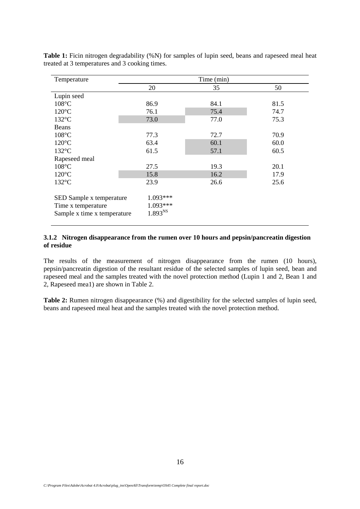| Temperature                 |                     | Time (min) |      |
|-----------------------------|---------------------|------------|------|
|                             | 20                  | 35         | 50   |
| Lupin seed                  |                     |            |      |
| $108^{\circ}$ C             | 86.9                | 84.1       | 81.5 |
| $120^{\circ}$ C             | 76.1                | 75.4       | 74.7 |
| $132^{\circ}$ C             | 73.0                | 77.0       | 75.3 |
| Beans                       |                     |            |      |
| $108^{\circ}$ C             | 77.3                | 72.7       | 70.9 |
| $120^{\circ}$ C             | 63.4                | 60.1       | 60.0 |
| $132^{\circ}$ C             | 61.5                | 57.1       | 60.5 |
| Rapeseed meal               |                     |            |      |
| $108^{\circ}$ C             | 27.5                | 19.3       | 20.1 |
| $120^{\circ}$ C             | 15.8                | 16.2       | 17.9 |
| $132^{\circ}$ C             | 23.9                | 26.6       | 25.6 |
|                             |                     |            |      |
| SED Sample x temperature    | 1.093***            |            |      |
| Time x temperature          | 1.093***            |            |      |
| Sample x time x temperature | 1.893 <sup>NS</sup> |            |      |
|                             |                     |            |      |

Table 1: Ficin nitrogen degradability (%N) for samples of lupin seed, beans and rapeseed meal heat treated at 3 temperatures and 3 cooking times.

## **3.1.2 Nitrogen disappearance from the rumen over 10 hours and pepsin/pancreatin digestion of residue**

The results of the measurement of nitrogen disappearance from the rumen (10 hours), pepsin/pancreatin digestion of the resultant residue of the selected samples of lupin seed, bean and rapeseed meal and the samples treated with the novel protection method (Lupin 1 and 2, Bean 1 and 2, Rapeseed mea1) are shown in Table 2.

**Table 2:** Rumen nitrogen disappearance (%) and digestibility for the selected samples of lupin seed, beans and rapeseed meal heat and the samples treated with the novel protection method.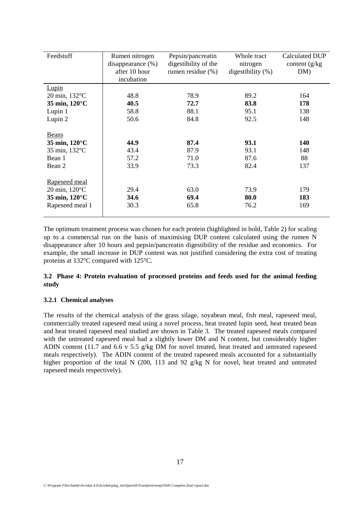| Feedstuff                                                                               | Rumen nitrogen<br>disappearance $(\%)$<br>after 10 hour<br>incubation | Pepsin/pancreatin<br>digestibility of the<br>rumen residue $(\% )$ | Whole tract<br>nitrogen<br>digestibility $(\%)$ | Calculated DUP<br>content $(g/kg)$<br>DM) |
|-----------------------------------------------------------------------------------------|-----------------------------------------------------------------------|--------------------------------------------------------------------|-------------------------------------------------|-------------------------------------------|
| <b>Lupin</b>                                                                            |                                                                       |                                                                    |                                                 |                                           |
| $20 \text{ min}$ , $132^{\circ}$ C                                                      | 48.8                                                                  | 78.9                                                               | 89.2                                            | 164                                       |
| 35 min, 120°C                                                                           | 40.5                                                                  | 72.7                                                               | 83.8                                            | 178                                       |
| Lupin 1                                                                                 | 58.8                                                                  | 88.1                                                               | 95.1                                            | 138                                       |
| Lupin 2                                                                                 | 50.6                                                                  | 84.8                                                               | 92.5                                            | 148                                       |
| Beans<br>35 min, 120°C<br>35 min, 132°C<br>Bean 1<br>Bean 2                             | 44.9<br>43.4<br>57.2<br>33.9                                          | 87.4<br>87.9<br>71.0<br>73.3                                       | 93.1<br>93.1<br>87.6<br>82.4                    | <b>140</b><br>148<br>88<br>137            |
| Rapeseed meal<br>$20 \text{ min}$ , $120^{\circ}$ C<br>35 min, 120°C<br>Rapeseed meal 1 | 29.4<br>34.6<br>30.3                                                  | 63.0<br>69.4<br>65.8                                               | 73.9<br>80.0<br>76.2                            | 179<br>183<br>169                         |

The optimum treatment process was chosen for each protein (highlighted in bold, Table 2) for scaling up to a commercial run on the basis of maximising DUP content calculated using the rumen N disappearance after 10 hours and pepsin/pancreatin digestibility of the residue and economics. For example, the small increase in DUP content was not justified considering the extra cost of treating proteins at 132°C compared with 125°C.

## **3.2 Phase 4: Protein evaluation of processed proteins and feeds used for the animal feeding study**

## **3.2.1 Chemical analyses**

The results of the chemical analysis of the grass silage, soyabean meal, fish meal, rapeseed meal, commercially treated rapeseed meal using a novel process, heat treated lupin seed, heat treated bean and heat treated rapeseed meal studied are shown in Table 3. The treated rapeseed meals compared with the untreated rapeseed meal had a slightly lower DM and N content, but considerably higher ADIN content (11.7 and 6.6 v 5.5 g/kg DM for novel treated, heat treated and untreated rapeseed meals respectively). The ADIN content of the treated rapeseed meals accounted for a substantially higher proportion of the total N (200, 113 and 92 g/kg N for novel, heat treated and untreated rapeseed meals respectively).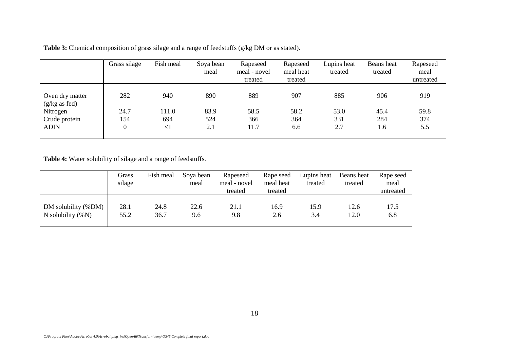| Table 3: Chemical composition of grass silage and a range of feedstuffs (g/kg DM or as stated). |  |
|-------------------------------------------------------------------------------------------------|--|
|-------------------------------------------------------------------------------------------------|--|

|                                            | Grass silage     | Fish meal | Soya bean<br>meal | Rapeseed<br>meal - novel<br>treated | Rapeseed<br>meal heat<br>treated | Lupins heat<br>treated | Beans heat<br>treated | Rapeseed<br>meal<br>untreated |
|--------------------------------------------|------------------|-----------|-------------------|-------------------------------------|----------------------------------|------------------------|-----------------------|-------------------------------|
| Oven dry matter<br>$(g/kg \text{ as fed})$ | 282              | 940       | 890               | 889                                 | 907                              | 885                    | 906                   | 919                           |
| Nitrogen                                   | 24.7             | 111.0     | 83.9              | 58.5                                | 58.2                             | 53.0                   | 45.4                  | 59.8                          |
| Crude protein                              | 154              | 694       | 524               | 366                                 | 364                              | 331                    | 284                   | 374                           |
| <b>ADIN</b>                                | $\boldsymbol{0}$ | $<$ 1     | 2.1               | 11.7                                | 6.6                              | 2.7                    | 1.6                   | 5.5                           |

**Table 4:** Water solubility of silage and a range of feedstuffs.

|                      | Grass<br>silage | Fish meal | Soya bean<br>meal | Rapeseed<br>meal - novel<br>treated | Rape seed<br>meal heat<br>treated | Lupins heat<br>treated | Beans heat<br>treated | Rape seed<br>meal<br>untreated |
|----------------------|-----------------|-----------|-------------------|-------------------------------------|-----------------------------------|------------------------|-----------------------|--------------------------------|
| DM solubility (%DM)  | 28.1            | 24.8      | 22.6              | 21.1                                | 16.9                              | 15.9                   | 12.6                  | 17.5                           |
| N solubility $(\%N)$ | 55.2            | 36.7      | 9.6               | 9.8                                 | 2.6                               | 3.4                    | 12.0                  | 6.8                            |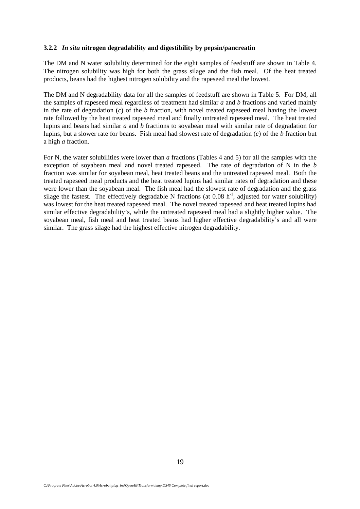#### **3.2.2** *In situ* **nitrogen degradability and digestibility by pepsin/pancreatin**

The DM and N water solubility determined for the eight samples of feedstuff are shown in Table 4. The nitrogen solubility was high for both the grass silage and the fish meal. Of the heat treated products, beans had the highest nitrogen solubility and the rapeseed meal the lowest.

The DM and N degradability data for all the samples of feedstuff are shown in Table 5. For DM, all the samples of rapeseed meal regardless of treatment had similar *a* and *b* fractions and varied mainly in the rate of degradation (*c*) of the *b* fraction, with novel treated rapeseed meal having the lowest rate followed by the heat treated rapeseed meal and finally untreated rapeseed meal. The heat treated lupins and beans had similar *a* and *b* fractions to soyabean meal with similar rate of degradation for lupins, but a slower rate for beans. Fish meal had slowest rate of degradation (*c*) of the *b* fraction but a high *a* fraction.

For N, the water solubilities were lower than *a* fractions (Tables 4 and 5) for all the samples with the exception of soyabean meal and novel treated rapeseed. The rate of degradation of N in the *b* fraction was similar for soyabean meal, heat treated beans and the untreated rapeseed meal. Both the treated rapeseed meal products and the heat treated lupins had similar rates of degradation and these were lower than the soyabean meal. The fish meal had the slowest rate of degradation and the grass silage the fastest. The effectively degradable N fractions (at  $0.08 h^{-1}$ , adjusted for water solubility) was lowest for the heat treated rapeseed meal. The novel treated rapeseed and heat treated lupins had similar effective degradability's, while the untreated rapeseed meal had a slightly higher value. The soyabean meal, fish meal and heat treated beans had higher effective degradability's and all were similar. The grass silage had the highest effective nitrogen degradability.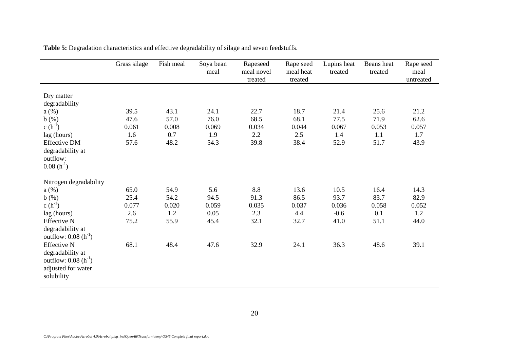|                                                                                                                                                                                                                                                     | Grass silage                                 | Fish meal                                    | Soya bean<br>meal                            | Rapeseed<br>meal novel<br>treated           | Rape seed<br>meal heat<br>treated            | Lupins heat<br>treated                          | Beans heat<br>treated                        | Rape seed<br>meal<br>untreated               |
|-----------------------------------------------------------------------------------------------------------------------------------------------------------------------------------------------------------------------------------------------------|----------------------------------------------|----------------------------------------------|----------------------------------------------|---------------------------------------------|----------------------------------------------|-------------------------------------------------|----------------------------------------------|----------------------------------------------|
| Dry matter<br>degradability<br>a(%)<br>b(%)<br>c $(h^{-1})$<br>lag (hours)<br><b>Effective DM</b><br>degradability at<br>outflow:<br>$0.08(h^{-1})$                                                                                                 | 39.5<br>47.6<br>0.061<br>1.6<br>57.6         | 43.1<br>57.0<br>0.008<br>0.7<br>48.2         | 24.1<br>76.0<br>0.069<br>1.9<br>54.3         | 22.7<br>68.5<br>0.034<br>2.2<br>39.8        | 18.7<br>68.1<br>0.044<br>2.5<br>38.4         | 21.4<br>77.5<br>0.067<br>1.4<br>52.9            | 25.6<br>71.9<br>0.053<br>1.1<br>51.7         | 21.2<br>62.6<br>0.057<br>1.7<br>43.9         |
| Nitrogen degradability<br>a(%)<br>b(%)<br>c $(h^{-1})$<br>lag (hours)<br><b>Effective N</b><br>degradability at<br>outflow: $0.08(h^{-1})$<br><b>Effective N</b><br>degradability at<br>outflow: $0.08(h^{-1})$<br>adjusted for water<br>solubility | 65.0<br>25.4<br>0.077<br>2.6<br>75.2<br>68.1 | 54.9<br>54.2<br>0.020<br>1.2<br>55.9<br>48.4 | 5.6<br>94.5<br>0.059<br>0.05<br>45.4<br>47.6 | 8.8<br>91.3<br>0.035<br>2.3<br>32.1<br>32.9 | 13.6<br>86.5<br>0.037<br>4.4<br>32.7<br>24.1 | 10.5<br>93.7<br>0.036<br>$-0.6$<br>41.0<br>36.3 | 16.4<br>83.7<br>0.058<br>0.1<br>51.1<br>48.6 | 14.3<br>82.9<br>0.052<br>1.2<br>44.0<br>39.1 |

**Table 5:** Degradation characteristics and effective degradability of silage and seven feedstuffs.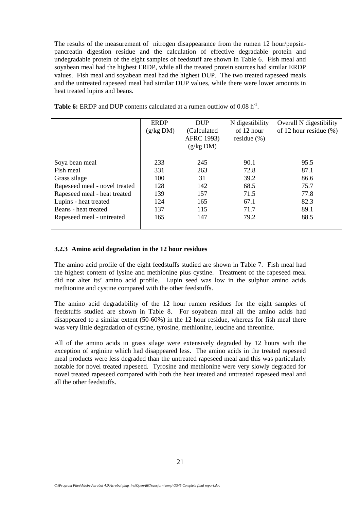The results of the measurement of nitrogen disappearance from the rumen 12 hour/pepsinpancreatin digestion residue and the calculation of effective degradable protein and undegradable protein of the eight samples of feedstuff are shown in Table 6. Fish meal and soyabean meal had the highest ERDP, while all the treated protein sources had similar ERDP values. Fish meal and soyabean meal had the highest DUP. The two treated rapeseed meals and the untreated rapeseed meal had similar DUP values, while there were lower amounts in heat treated lupins and beans.

|                               | <b>ERDP</b> | <b>DUP</b>        | N digestibility | Overall N digestibility    |
|-------------------------------|-------------|-------------------|-----------------|----------------------------|
|                               | (g/kg DM)   | (Calculated)      | of 12 hour      | of 12 hour residue $(\% )$ |
|                               |             | <b>AFRC 1993)</b> | residue $(\% )$ |                            |
|                               |             | (g/kg DM)         |                 |                            |
|                               |             |                   |                 |                            |
| Soya bean meal                | 233         | 245               | 90.1            | 95.5                       |
| Fish meal                     | 331         | 263               | 72.8            | 87.1                       |
| Grass silage                  | 100         | 31                | 39.2            | 86.6                       |
| Rapeseed meal - novel treated | 128         | 142               | 68.5            | 75.7                       |
| Rapeseed meal - heat treated  | 139         | 157               | 71.5            | 77.8                       |
| Lupins - heat treated         | 124         | 165               | 67.1            | 82.3                       |
| Beans - heat treated          | 137         | 115               | 71.7            | 89.1                       |
| Rapeseed meal - untreated     | 165         | 147               | 79.2            | 88.5                       |
|                               |             |                   |                 |                            |

**Table 6:** ERDP and DUP contents calculated at a rumen outflow of 0.08 h<sup>-1</sup>.

#### **3.2.3 Amino acid degradation in the 12 hour residues**

The amino acid profile of the eight feedstuffs studied are shown in Table 7. Fish meal had the highest content of lysine and methionine plus cystine. Treatment of the rapeseed meal did not alter its' amino acid profile. Lupin seed was low in the sulphur amino acids methionine and cystine compared with the other feedstuffs.

The amino acid degradability of the 12 hour rumen residues for the eight samples of feedstuffs studied are shown in Table 8. For soyabean meal all the amino acids had disappeared to a similar extent (50-60%) in the 12 hour residue, whereas for fish meal there was very little degradation of cystine, tyrosine, methionine, leucine and threonine.

All of the amino acids in grass silage were extensively degraded by 12 hours with the exception of arginine which had disappeared less. The amino acids in the treated rapeseed meal products were less degraded than the untreated rapeseed meal and this was particularly notable for novel treated rapeseed. Tyrosine and methionine were very slowly degraded for novel treated rapeseed compared with both the heat treated and untreated rapeseed meal and all the other feedstuffs.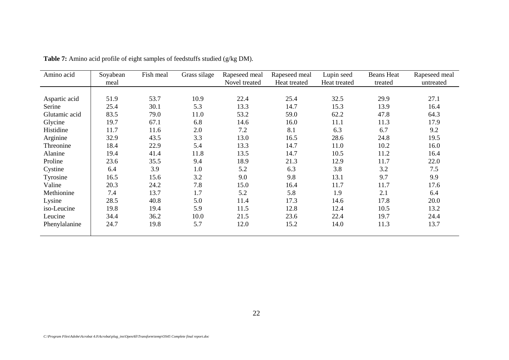| Amino acid    | Soyabean<br>meal | Fish meal | Grass silage | Rapeseed meal<br>Novel treated | Rapeseed meal<br>Heat treated | Lupin seed<br>Heat treated | <b>Beans Heat</b><br>treated | Rapeseed meal<br>untreated |
|---------------|------------------|-----------|--------------|--------------------------------|-------------------------------|----------------------------|------------------------------|----------------------------|
|               |                  |           |              |                                |                               |                            |                              |                            |
| Aspartic acid | 51.9             | 53.7      | 10.9         | 22.4                           | 25.4                          | 32.5                       | 29.9                         | 27.1                       |
| Serine        | 25.4             | 30.1      | 5.3          | 13.3                           | 14.7                          | 15.3                       | 13.9                         | 16.4                       |
| Glutamic acid | 83.5             | 79.0      | 11.0         | 53.2                           | 59.0                          | 62.2                       | 47.8                         | 64.3                       |
| Glycine       | 19.7             | 67.1      | 6.8          | 14.6                           | 16.0                          | 11.1                       | 11.3                         | 17.9                       |
| Histidine     | 11.7             | 11.6      | 2.0          | 7.2                            | 8.1                           | 6.3                        | 6.7                          | 9.2                        |
| Arginine      | 32.9             | 43.5      | 3.3          | 13.0                           | 16.5                          | 28.6                       | 24.8                         | 19.5                       |
| Threonine     | 18.4             | 22.9      | 5.4          | 13.3                           | 14.7                          | 11.0                       | 10.2                         | 16.0                       |
| Alanine       | 19.4             | 41.4      | 11.8         | 13.5                           | 14.7                          | 10.5                       | 11.2                         | 16.4                       |
| Proline       | 23.6             | 35.5      | 9.4          | 18.9                           | 21.3                          | 12.9                       | 11.7                         | 22.0                       |
| Cystine       | 6.4              | 3.9       | 1.0          | 5.2                            | 6.3                           | 3.8                        | 3.2                          | 7.5                        |
| Tyrosine      | 16.5             | 15.6      | 3.2          | 9.0                            | 9.8                           | 13.1                       | 9.7                          | 9.9                        |
| Valine        | 20.3             | 24.2      | 7.8          | 15.0                           | 16.4                          | 11.7                       | 11.7                         | 17.6                       |
| Methionine    | 7.4              | 13.7      | 1.7          | 5.2                            | 5.8                           | 1.9                        | 2.1                          | 6.4                        |
| Lysine        | 28.5             | 40.8      | 5.0          | 11.4                           | 17.3                          | 14.6                       | 17.8                         | 20.0                       |
| iso-Leucine   | 19.8             | 19.4      | 5.9          | 11.5                           | 12.8                          | 12.4                       | 10.5                         | 13.2                       |
| Leucine       | 34.4             | 36.2      | 10.0         | 21.5                           | 23.6                          | 22.4                       | 19.7                         | 24.4                       |
| Phenylalanine | 24.7             | 19.8      | 5.7          | 12.0                           | 15.2                          | 14.0                       | 11.3                         | 13.7                       |

**Table 7:** Amino acid profile of eight samples of feedstuffs studied (g/kg DM).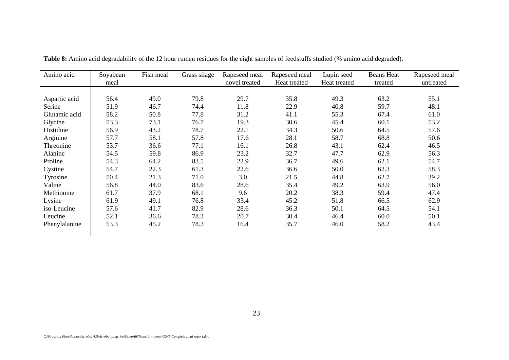| Amino acid    | Soyabean<br>meal | Fish meal | Grass silage | Rapeseed meal<br>novel treated | Rapeseed meal<br>Heat treated | Lupin seed<br>Heat treated | <b>Beans Heat</b><br>treated | Rapeseed meal<br>untreated |
|---------------|------------------|-----------|--------------|--------------------------------|-------------------------------|----------------------------|------------------------------|----------------------------|
|               |                  |           |              |                                |                               |                            |                              |                            |
| Aspartic acid | 56.4             | 49.0      | 79.8         | 29.7                           | 35.8                          | 49.3                       | 63.2                         | 55.1                       |
| Serine        | 51.9             | 46.7      | 74.4         | 11.8                           | 22.9                          | 40.8                       | 59.7                         | 48.1                       |
| Glutamic acid | 58.2             | 50.8      | 77.8         | 31.2                           | 41.1                          | 55.3                       | 67.4                         | 61.0                       |
| Glycine       | 53.3             | 73.1      | 76.7         | 19.3                           | 30.6                          | 45.4                       | 60.1                         | 53.2                       |
| Histidine     | 56.9             | 43.2      | 78.7         | 22.1                           | 34.3                          | 50.6                       | 64.5                         | 57.6                       |
| Arginine      | 57.7             | 58.1      | 57.8         | 17.6                           | 28.1                          | 58.7                       | 68.8                         | 50.6                       |
| Threonine     | 53.7             | 36.6      | 77.1         | 16.1                           | 26.8                          | 43.1                       | 62.4                         | 46.5                       |
| Alanine       | 54.5             | 59.8      | 86.9         | 23.2                           | 32.7                          | 47.7                       | 62.9                         | 56.3                       |
| Proline       | 54.3             | 64.2      | 83.5         | 22.9                           | 36.7                          | 49.6                       | 62.1                         | 54.7                       |
| Cystine       | 54.7             | 22.3      | 61.3         | 22.6                           | 36.6                          | 50.0                       | 62.3                         | 58.3                       |
| Tyrosine      | 50.4             | 21.3      | 71.0         | 3.0                            | 21.5                          | 44.8                       | 62.7                         | 39.2                       |
| Valine        | 56.8             | 44.0      | 83.6         | 28.6                           | 35.4                          | 49.2                       | 63.9                         | 56.0                       |
| Methionine    | 61.7             | 37.9      | 68.1         | 9.6                            | 20.2                          | 38.3                       | 59.4                         | 47.4                       |
| Lysine        | 61.9             | 49.1      | 76.8         | 33.4                           | 45.2                          | 51.8                       | 66.5                         | 62.9                       |
| iso-Leucine   | 57.6             | 41.7      | 82.9         | 28.6                           | 36.3                          | 50.1                       | 64.5                         | 54.1                       |
| Leucine       | 52.1             | 36.6      | 78.3         | 20.7                           | 30.4                          | 46.4                       | 60.0                         | 50.1                       |
| Phenylalanine | 53.3             | 45.2      | 78.3         | 16.4                           | 35.7                          | 46.0                       | 58.2                         | 43.4                       |

**Table 8:** Amino acid degradability of the 12 hour rumen residues for the eight samples of feedstuffs studied (% amino acid degraded).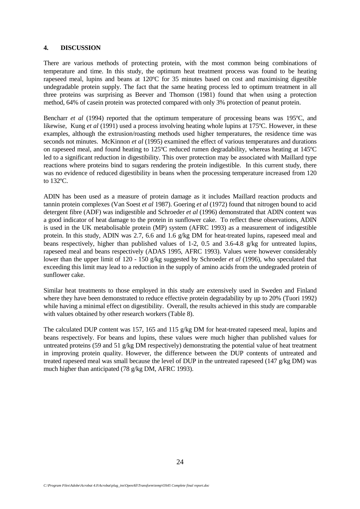#### **4. DISCUSSION**

There are various methods of protecting protein, with the most common being combinations of temperature and time. In this study, the optimum heat treatment process was found to be heating rapeseed meal, lupins and beans at 120ºC for 35 minutes based on cost and maximising digestible undegradable protein supply. The fact that the same heating process led to optimum treatment in all three proteins was surprising as Beever and Thomson (1981) found that when using a protection method, 64% of casein protein was protected compared with only 3% protection of peanut protein.

Bencharr *et al* (1994) reported that the optimum temperature of processing beans was 195°C, and likewise, Kung *et al* (1991) used a process involving heating whole lupins at 175°C. However, in these examples, although the extrusion/roasting methods used higher temperatures, the residence time was seconds not minutes. McKinnon *et al* (1995) examined the effect of various temperatures and durations on rapeseed meal, and found heating to 125ºC reduced rumen degradability, whereas heating at 145ºC led to a significant reduction in digestibility. This over protection may be associated with Maillard type reactions where proteins bind to sugars rendering the protein indigestible. In this current study, there was no evidence of reduced digestibility in beans when the processing temperature increased from 120 to 132ºC.

ADIN has been used as a measure of protein damage as it includes Maillard reaction products and tannin protein complexes (Van Soest *et al* 1987). Goering *et al* (1972) found that nitrogen bound to acid detergent fibre (ADF) was indigestible and Schroeder *et al* (1996) demonstrated that ADIN content was a good indicator of heat damage to the protein in sunflower cake. To reflect these observations, ADIN is used in the UK metabolisable protein (MP) system (AFRC 1993) as a measurement of indigestible protein. In this study, ADIN was 2.7, 6.6 and 1.6 g/kg DM for heat-treated lupins, rapeseed meal and beans respectively, higher than published values of 1-2, 0.5 and 3.6-4.8 g/kg for untreated lupins, rapeseed meal and beans respectively (ADAS 1995, AFRC 1993). Values were however considerably lower than the upper limit of 120 - 150 g/kg suggested by Schroeder *et al* (1996), who speculated that exceeding this limit may lead to a reduction in the supply of amino acids from the undegraded protein of sunflower cake.

Similar heat treatments to those employed in this study are extensively used in Sweden and Finland where they have been demonstrated to reduce effective protein degradability by up to 20% (Tuori 1992) while having a minimal effect on digestibility. Overall, the results achieved in this study are comparable with values obtained by other research workers (Table 8).

The calculated DUP content was 157, 165 and 115 g/kg DM for heat-treated rapeseed meal, lupins and beans respectively. For beans and lupins, these values were much higher than published values for untreated proteins (59 and 51 g/kg DM respectively) demonstrating the potential value of heat treatment in improving protein quality. However, the difference between the DUP contents of untreated and treated rapeseed meal was small because the level of DUP in the untreated rapeseed (147 g/kg DM) was much higher than anticipated (78 g/kg DM, AFRC 1993).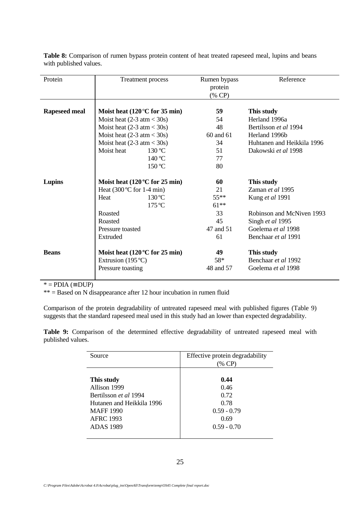**Table 8:** Comparison of rumen bypass protein content of heat treated rapeseed meal, lupins and beans with published values.

| Protein              | Treatment process                            | Rumen bypass<br>protein<br>(% CP) | Reference                    |
|----------------------|----------------------------------------------|-----------------------------------|------------------------------|
| <b>Rapeseed meal</b> | Moist heat $(120\degree C)$ for 35 min)      | 59                                | This study                   |
|                      | Moist heat $(2-3 \text{ atm} < 30 \text{s})$ | 54                                | Herland 1996a                |
|                      | Moist heat $(2-3 \text{ atm} < 30 \text{s})$ | 48                                | Bertilsson <i>et al</i> 1994 |
|                      | Moist heat $(2-3 \text{ atm} < 30 \text{s})$ | 60 and 61                         | Herland 1996b                |
|                      | Moist heat $(2-3 \text{ atm} < 30 \text{s})$ | 34                                | Huhtanen and Heikkila 1996   |
|                      | Moist heat<br>130 °C                         | 51                                | Dakowski et al 1998          |
|                      | 140 °C                                       | 77                                |                              |
|                      | 150 °C                                       | 80                                |                              |
| Lupins               | Moist heat $(120\degree C)$ for 25 min)      | 60                                | This study                   |
|                      | Heat $(300^{\circ}C$ for 1-4 min)            | 21                                | Zaman et al 1995             |
|                      | $130^{\circ}$ C<br>Heat                      | $55***$                           | Kung et al 1991              |
|                      | $175^{\circ}$ C                              | $61***$                           |                              |
|                      | Roasted                                      | 33                                | Robinson and McNiven 1993    |
|                      | Roasted                                      | 45                                | Singh et al 1995             |
|                      | Pressure toasted                             | 47 and 51                         | Goelema et al 1998           |
|                      | Extruded                                     | 61                                | Benchaar et al 1991          |
| <b>Beans</b>         | Moist heat $(120\degree C)$ for 25 min)      | 49                                | This study                   |
|                      | Extrusion $(195^{\circ}C)$                   | 58*                               | Benchaar et al 1992          |
|                      | Pressure toasting                            | 48 and 57                         | Goelema et al 1998           |

\* = PDIA (≡ DUP)

 $** =$  Based on N disappearance after 12 hour incubation in rumen fluid

Comparison of the protein degradability of untreated rapeseed meal with published figures (Table 9) suggests that the standard rapeseed meal used in this study had an lower than expected degradability.

**Table 9:** Comparison of the determined effective degradability of untreated rapeseed meal with published values.

| Source                       | Effective protein degradability<br>(% CP) |
|------------------------------|-------------------------------------------|
| This study<br>Allison 1999   | 0.44<br>0.46                              |
| Bertilsson <i>et al</i> 1994 | 0.72                                      |
| Hutanen and Heikkila 1996    | 0.78                                      |
| <b>MAFF</b> 1990             | $0.59 - 0.79$                             |
| <b>AFRC 1993</b>             | 0.69                                      |
| <b>ADAS</b> 1989             | $0.59 - 0.70$                             |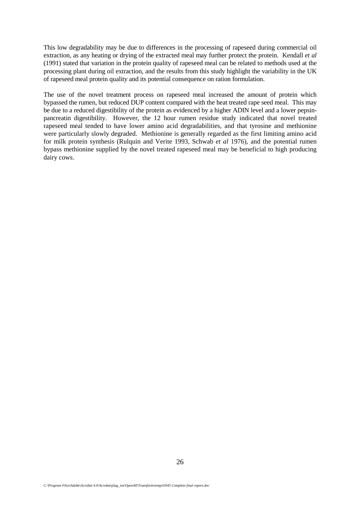This low degradability may be due to differences in the processing of rapeseed during commercial oil extraction, as any heating or drying of the extracted meal may further protect the protein. Kendall *et al* (1991) stated that variation in the protein quality of rapeseed meal can be related to methods used at the processing plant during oil extraction, and the results from this study highlight the variability in the UK of rapeseed meal protein quality and its potential consequence on ration formulation.

The use of the novel treatment process on rapeseed meal increased the amount of protein which bypassed the rumen, but reduced DUP content compared with the heat treated rape seed meal. This may be due to a reduced digestibility of the protein as evidenced by a higher ADIN level and a lower pepsinpancreatin digestibility. However, the 12 hour rumen residue study indicated that novel treated rapeseed meal tended to have lower amino acid degradabilities, and that tyrosine and methionine were particularly slowly degraded. Methionine is generally regarded as the first limiting amino acid for milk protein synthesis (Rulquin and Verite 1993, Schwab *et al* 1976), and the potential rumen bypass methionine supplied by the novel treated rapeseed meal may be beneficial to high producing dairy cows.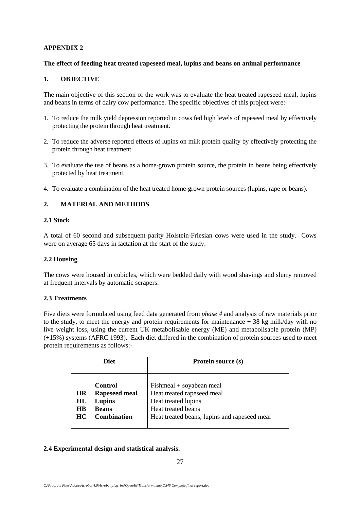# **APPENDIX 2**

### **The effect of feeding heat treated rapeseed meal, lupins and beans on animal performance**

## **1. OBJECTIVE**

The main objective of this section of the work was to evaluate the heat treated rapeseed meal, lupins and beans in terms of dairy cow performance. The specific objectives of this project were:-

- 1. To reduce the milk yield depression reported in cows fed high levels of rapeseed meal by effectively protecting the protein through heat treatment.
- 2. To reduce the adverse reported effects of lupins on milk protein quality by effectively protecting the protein through heat treatment.
- 3. To evaluate the use of beans as a home-grown protein source, the protein in beans being effectively protected by heat treatment.
- 4. To evaluate a combination of the heat treated home-grown protein sources (lupins, rape or beans).

# **2. MATERIAL AND METHODS**

#### **2.1 Stock**

A total of 60 second and subsequent parity Holstein-Friesian cows were used in the study. Cows were on average 65 days in lactation at the start of the study.

## **2.2 Housing**

The cows were housed in cubicles, which were bedded daily with wood shavings and slurry removed at frequent intervals by automatic scrapers.

## **2.3 Treatments**

Five diets were formulated using feed data generated from *phase 4* and analysis of raw materials prior to the study, to meet the energy and protein requirements for maintenance + 38 kg milk/day with no live weight loss, using the current UK metabolisable energy (ME) and metabolisable protein (MP) (+15%) systems (AFRC 1993). Each diet differed in the combination of protein sources used to meet protein requirements as follows:-

|                                     | <b>Diet</b>                                                                     | <b>Protein source (s)</b>                                                                                                                             |
|-------------------------------------|---------------------------------------------------------------------------------|-------------------------------------------------------------------------------------------------------------------------------------------------------|
| <b>HR</b><br>HL<br><b>HB</b><br>HC. | Control<br><b>Rapeseed meal</b><br>Lupins<br><b>Beans</b><br><b>Combination</b> | $Fishmeal + soyabean meal$<br>Heat treated rapeseed meal<br>Heat treated lupins<br>Heat treated beans<br>Heat treated beans, lupins and rapeseed meal |

## **2.4 Experimental design and statistical analysis.**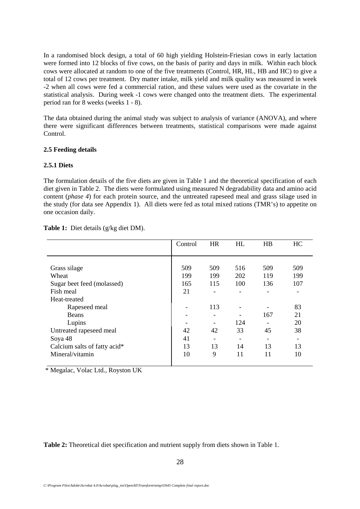In a randomised block design, a total of 60 high yielding Holstein-Friesian cows in early lactation were formed into 12 blocks of five cows, on the basis of parity and days in milk. Within each block cows were allocated at random to one of the five treatments (Control, HR, HL, HB and HC) to give a total of 12 cows per treatment. Dry matter intake, milk yield and milk quality was measured in week -2 when all cows were fed a commercial ration, and these values were used as the covariate in the statistical analysis. During week -1 cows were changed onto the treatment diets. The experimental period ran for 8 weeks (weeks 1 - 8).

The data obtained during the animal study was subject to analysis of variance (ANOVA), and where there were significant differences between treatments, statistical comparisons were made against Control.

## **2.5 Feeding details**

## **2.5.1 Diets**

The formulation details of the five diets are given in Table 1 and the theoretical specification of each diet given in Table 2. The diets were formulated using measured N degradability data and amino acid content (*phase 4*) for each protein source, and the untreated rapeseed meal and grass silage used in the study (for data see Appendix 1). All diets were fed as total mixed rations (TMR's) to appetite on one occasion daily.

|                              | Control | <b>HR</b> | HL                           | HB  | HC  |
|------------------------------|---------|-----------|------------------------------|-----|-----|
|                              |         |           |                              |     |     |
| Grass silage                 | 509     | 509       | 516                          | 509 | 509 |
| Wheat                        | 199     | 199       | 202                          | 119 | 199 |
| Sugar beet feed (molassed)   | 165     | 115       | 100                          | 136 | 107 |
| Fish meal                    | 21      |           | $\qquad \qquad \blacksquare$ |     |     |
| Heat-treated                 |         |           |                              |     |     |
| Rapeseed meal                |         | 113       | $\qquad \qquad$              |     | 83  |
| <b>Beans</b>                 |         | -         |                              | 167 | 21  |
| Lupins                       |         |           | 124                          |     | 20  |
| Untreated rapeseed meal      | 42      | 42        | 33                           | 45  | 38  |
| Soya 48                      | 41      |           | -                            |     |     |
| Calcium salts of fatty acid* | 13      | 13        | 14                           | 13  | 13  |
| Mineral/vitamin              | 10      | 9         | 11                           | 11  | 10  |
|                              |         |           |                              |     |     |

**Table 1:** Diet details (g/kg diet DM).

\* Megalac, Volac Ltd., Royston UK

**Table 2:** Theoretical diet specification and nutrient supply from diets shown in Table 1.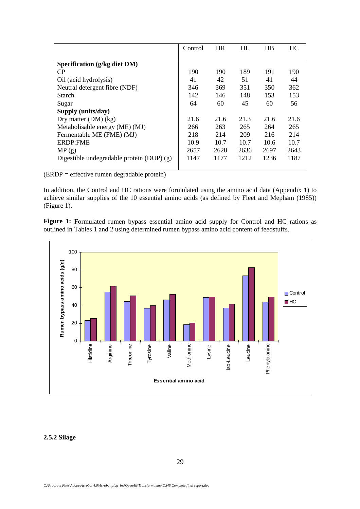|                                            | Control | <b>HR</b> | HL   | HB   | HC.  |
|--------------------------------------------|---------|-----------|------|------|------|
|                                            |         |           |      |      |      |
| Specification (g/kg diet DM)               |         |           |      |      |      |
| CP                                         | 190     | 190       | 189  | 191  | 190  |
| Oil (acid hydrolysis)                      | 41      | 42        | 51   | 41   | 44   |
| Neutral detergent fibre (NDF)              | 346     | 369       | 351  | 350  | 362  |
| Starch                                     | 142     | 146       | 148  | 153  | 153  |
| Sugar                                      | 64      | 60        | 45   | 60   | 56   |
| Supply (units/day)                         |         |           |      |      |      |
| Dry matter $(DM)$ (kg)                     | 21.6    | 21.6      | 21.3 | 21.6 | 21.6 |
| Metabolisable energy (ME) (MJ)             | 266     | 263       | 265  | 264  | 265  |
| Fermentable ME (FME) (MJ)                  | 218     | 214       | 209  | 216  | 214  |
| <b>ERDP:FME</b>                            | 10.9    | 10.7      | 10.7 | 10.6 | 10.7 |
| MP(g)                                      | 2657    | 2628      | 2636 | 2697 | 2643 |
| Digestible undegradable protein $(DUP)(g)$ | 1147    | 1177      | 1212 | 1236 | 1187 |
|                                            |         |           |      |      |      |

(ERDP = effective rumen degradable protein)

In addition, the Control and HC rations were formulated using the amino acid data (Appendix 1) to achieve similar supplies of the 10 essential amino acids (as defined by Fleet and Mepham (1985)) (Figure 1).

Figure 1: Formulated rumen bypass essential amino acid supply for Control and HC rations as outlined in Tables 1 and 2 using determined rumen bypass amino acid content of feedstuffs.



#### **2.5.2 Silage**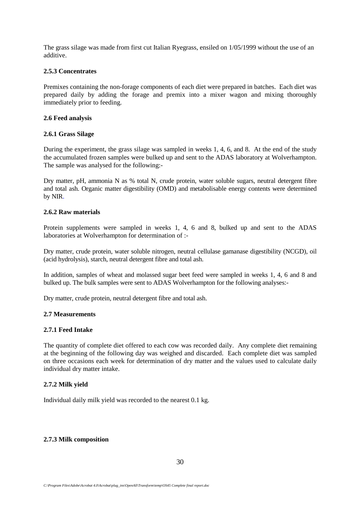The grass silage was made from first cut Italian Ryegrass, ensiled on 1/05/1999 without the use of an additive.

## **2.5.3 Concentrates**

Premixes containing the non-forage components of each diet were prepared in batches. Each diet was prepared daily by adding the forage and premix into a mixer wagon and mixing thoroughly immediately prior to feeding.

#### **2.6 Feed analysis**

#### **2.6.1 Grass Silage**

During the experiment, the grass silage was sampled in weeks 1, 4, 6, and 8. At the end of the study the accumulated frozen samples were bulked up and sent to the ADAS laboratory at Wolverhampton. The sample was analysed for the following:-

Dry matter, pH, ammonia N as % total N, crude protein, water soluble sugars, neutral detergent fibre and total ash. Organic matter digestibility (OMD) and metabolisable energy contents were determined by NIR.

#### **2.6.2 Raw materials**

Protein supplements were sampled in weeks 1, 4, 6 and 8, bulked up and sent to the ADAS laboratories at Wolverhampton for determination of :-

Dry matter, crude protein, water soluble nitrogen, neutral cellulase gamanase digestibility (NCGD), oil (acid hydrolysis), starch, neutral detergent fibre and total ash.

In addition, samples of wheat and molassed sugar beet feed were sampled in weeks 1, 4, 6 and 8 and bulked up. The bulk samples were sent to ADAS Wolverhampton for the following analyses:-

Dry matter, crude protein, neutral detergent fibre and total ash.

## **2.7 Measurements**

## **2.7.1 Feed Intake**

The quantity of complete diet offered to each cow was recorded daily. Any complete diet remaining at the beginning of the following day was weighed and discarded. Each complete diet was sampled on three occasions each week for determination of dry matter and the values used to calculate daily individual dry matter intake.

## **2.7.2 Milk yield**

Individual daily milk yield was recorded to the nearest 0.1 kg.

## **2.7.3 Milk composition**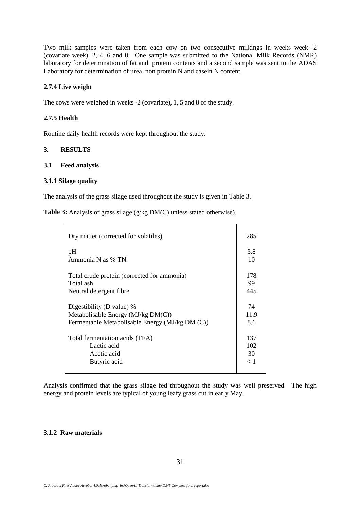Two milk samples were taken from each cow on two consecutive milkings in weeks week -2 (covariate week), 2, 4, 6 and 8. One sample was submitted to the National Milk Records (NMR) laboratory for determination of fat and protein contents and a second sample was sent to the ADAS Laboratory for determination of urea, non protein N and casein N content.

#### **2.7.4 Live weight**

The cows were weighed in weeks -2 (covariate), 1, 5 and 8 of the study.

#### **2.7.5 Health**

Routine daily health records were kept throughout the study.

#### **3. RESULTS**

#### **3.1 Feed analysis**

#### **3.1.1 Silage quality**

The analysis of the grass silage used throughout the study is given in Table 3.

**Table 3:** Analysis of grass silage (g/kg DM(C) unless stated otherwise).

| Dry matter (corrected for volatiles)            | 285  |
|-------------------------------------------------|------|
| pH                                              | 3.8  |
| Ammonia N as % TN                               | 10   |
| Total crude protein (corrected for ammonia)     | 178  |
| Total ash                                       | 99   |
| Neutral detergent fibre                         | 445  |
| Digestibility (D value) %                       | 74   |
| Metabolisable Energy $(MJ/kg DM(C))$            | 11.9 |
| Fermentable Metabolisable Energy (MJ/kg DM (C)) | 8.6  |
| Total fermentation acids (TFA)                  | 137  |
| Lactic acid                                     | 102  |
| Acetic acid                                     | 30   |
| Butyric acid                                    | < 1  |

Analysis confirmed that the grass silage fed throughout the study was well preserved. The high energy and protein levels are typical of young leafy grass cut in early May.

#### **3.1.2 Raw materials**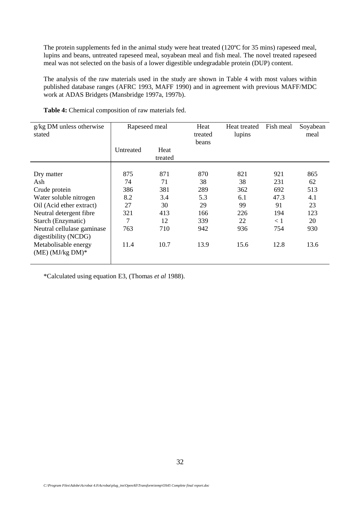The protein supplements fed in the animal study were heat treated (120°C for 35 mins) rapeseed meal, lupins and beans, untreated rapeseed meal, soyabean meal and fish meal. The novel treated rapeseed meal was not selected on the basis of a lower digestible undegradable protein (DUP) content.

The analysis of the raw materials used in the study are shown in Table 4 with most values within published database ranges (AFRC 1993, MAFF 1990) and in agreement with previous MAFF/MDC work at ADAS Bridgets (Mansbridge 1997a, 1997b).

| $g/kg$ DM unless otherwise<br>stated | Rapeseed meal |                 | Heat<br>treated<br>beans | Heat treated<br>lupins | Fish meal | Soyabean<br>meal |
|--------------------------------------|---------------|-----------------|--------------------------|------------------------|-----------|------------------|
|                                      | Untreated     | Heat<br>treated |                          |                        |           |                  |
|                                      |               |                 |                          |                        |           |                  |
| Dry matter                           | 875           | 871             | 870                      | 821                    | 921       | 865              |
| Ash                                  | 74            | 71              | 38                       | 38                     | 231       | 62               |
| Crude protein                        | 386           | 381             | 289                      | 362                    | 692       | 513              |
| Water soluble nitrogen               | 8.2           | 3.4             | 5.3                      | 6.1                    | 47.3      | 4.1              |
| Oil (Acid ether extract)             | 27            | 30              | 29                       | 99                     | 91        | 23               |
| Neutral detergent fibre              | 321           | 413             | 166                      | 226                    | 194       | 123              |
| Starch (Enzymatic)                   | 7             | 12              | 339                      | 22                     | < 1       | 20               |
| Neutral cellulase gaminase           | 763           | 710             | 942                      | 936                    | 754       | 930              |
| digestibility (NCDG)                 |               |                 |                          |                        |           |                  |
| Metabolisable energy                 | 11.4          | 10.7            | 13.9                     | 15.6                   | 12.8      | 13.6             |
| $(ME)$ $(MJ/kg DM)*$                 |               |                 |                          |                        |           |                  |
|                                      |               |                 |                          |                        |           |                  |

**Table 4:** Chemical composition of raw materials fed.

\*Calculated using equation E3, (Thomas *et al* 1988).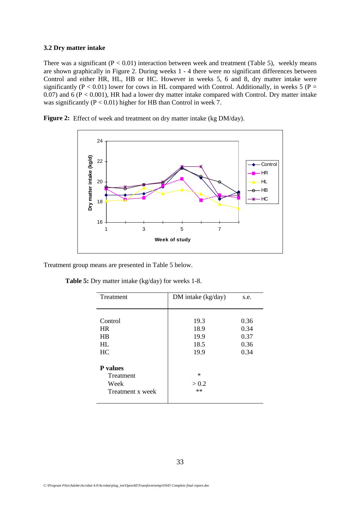#### **3.2 Dry matter intake**

There was a significant  $(P < 0.01)$  interaction between week and treatment (Table 5), weekly means are shown graphically in Figure 2. During weeks 1 - 4 there were no significant differences between Control and either HR, HL, HB or HC. However in weeks 5, 6 and 8, dry matter intake were significantly ( $P < 0.01$ ) lower for cows in HL compared with Control. Additionally, in weeks 5 ( $P =$  $0.07$ ) and  $6$  ( $P < 0.001$ ), HR had a lower dry matter intake compared with Control. Dry matter intake was significantly ( $P < 0.01$ ) higher for HB than Control in week 7.

Figure 2: Effect of week and treatment on dry matter intake (kg DM/day).



Treatment group means are presented in Table 5 below.

| Table 5: Dry matter intake (kg/day) for weeks 1-8. |  |  |  |  |  |  |  |
|----------------------------------------------------|--|--|--|--|--|--|--|
|----------------------------------------------------|--|--|--|--|--|--|--|

| Treatment        | DM intake (kg/day) | s.e. |
|------------------|--------------------|------|
|                  |                    |      |
|                  |                    |      |
| Control          | 19.3               | 0.36 |
| <b>HR</b>        | 18.9               | 0.34 |
| HR               | 19.9               | 0.37 |
| HI.              | 18.5               | 0.36 |
| HC               | 19.9               | 0.34 |
|                  |                    |      |
| P values         |                    |      |
| Treatment        | $\ast$             |      |
| Week             | > 0.2              |      |
| Treatment x week | $**$               |      |
|                  |                    |      |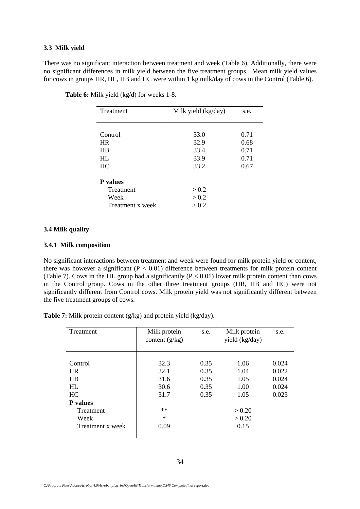#### **3.3 Milk yield**

There was no significant interaction between treatment and week (Table 6). Additionally, there were no significant differences in milk yield between the five treatment groups. Mean milk yield values for cows in groups HR, HL, HB and HC were within 1 kg milk/day of cows in the Control (Table 6).

| Treatment        | Milk yield (kg/day) | s.e. |
|------------------|---------------------|------|
|                  |                     |      |
|                  |                     |      |
| Control          | 33.0                | 0.71 |
| <b>HR</b>        | 32.9                | 0.68 |
| HR               | 33.4                | 0.71 |
| HI.              | 33.9                | 0.71 |
| HC               | 33.2                | 0.67 |
|                  |                     |      |
| <b>P</b> values  |                     |      |
| Treatment        | > 0.2               |      |
| Week             | > 0.2               |      |
| Treatment x week | > 0.2               |      |
|                  |                     |      |

**Table 6:** Milk yield (kg/d) for weeks 1-8.

#### **3.4 Milk quality**

### **3.4.1 Milk composition**

No significant interactions between treatment and week were found for milk protein yield or content, there was however a significant ( $P < 0.01$ ) difference between treatments for milk protein content (Table 7). Cows in the HL group had a significantly  $(P < 0.01)$  lower milk protein content than cows in the Control group. Cows in the other three treatment groups (HR, HB and HC) were not significantly different from Control cows. Milk protein yield was not significantly different between the five treatment groups of cows.

**Table 7:** Milk protein content (g/kg) and protein yield (kg/day).

| Treatment                                                                             | Milk protein<br>s.e.<br>content $(g/kg)$             |                                      | Milk protein<br>yield (kg/day)                           | s.e.                                      |
|---------------------------------------------------------------------------------------|------------------------------------------------------|--------------------------------------|----------------------------------------------------------|-------------------------------------------|
| Control<br><b>HR</b><br><b>HB</b><br>HL<br>HC<br><b>P</b> values<br>Treatment<br>Week | 32.3<br>32.1<br>31.6<br>30.6<br>31.7<br>**<br>$\ast$ | 0.35<br>0.35<br>0.35<br>0.35<br>0.35 | 1.06<br>1.04<br>1.05<br>1.00<br>1.05<br>> 0.20<br>> 0.20 | 0.024<br>0.022<br>0.024<br>0.024<br>0.023 |
| Treatment x week                                                                      | 0.09                                                 |                                      | 0.15                                                     |                                           |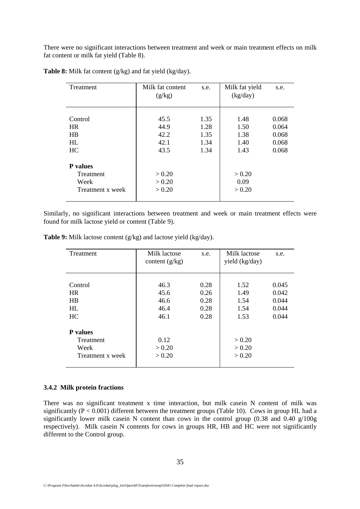There were no significant interactions between treatment and week or main treatment effects on milk fat content or milk fat yield (Table 8).

| Treatment                                                | Milk fat content<br>s.e.<br>(g/kg) |                              | Milk fat yield<br>(kg/day)   | s.e.                             |
|----------------------------------------------------------|------------------------------------|------------------------------|------------------------------|----------------------------------|
|                                                          |                                    |                              |                              |                                  |
| Control<br><b>HR</b><br>HB<br>HI.                        | 45.5<br>44.9<br>42.2<br>42.1       | 1.35<br>1.28<br>1.35<br>1.34 | 1.48<br>1.50<br>1.38<br>1.40 | 0.068<br>0.064<br>0.068<br>0.068 |
| HC                                                       | 43.5                               | 1.34                         | 1.43                         | 0.068                            |
| <b>P</b> values<br>Treatment<br>Week<br>Treatment x week | > 0.20<br>> 0.20<br>> 0.20         |                              | > 0.20<br>0.09<br>> 0.20     |                                  |

**Table 8:** Milk fat content (g/kg) and fat yield (kg/day).

Similarly, no significant interactions between treatment and week or main treatment effects were found for milk lactose yield or content (Table 9).

**Table 9:** Milk lactose content (g/kg) and lactose yield (kg/day).

| Treatment                                                | Milk lactose<br>content $(g/kg)$     | s.e.                                 | Milk lactose<br>yield (kg/day)       | s.e.                                      |
|----------------------------------------------------------|--------------------------------------|--------------------------------------|--------------------------------------|-------------------------------------------|
| Control<br><b>HR</b><br>HB<br>HL<br>HC                   | 46.3<br>45.6<br>46.6<br>46.4<br>46.1 | 0.28<br>0.26<br>0.28<br>0.28<br>0.28 | 1.52<br>1.49<br>1.54<br>1.54<br>1.53 | 0.045<br>0.042<br>0.044<br>0.044<br>0.044 |
| <b>P</b> values<br>Treatment<br>Week<br>Treatment x week | 0.12<br>> 0.20<br>> 0.20             |                                      | > 0.20<br>> 0.20<br>> 0.20           |                                           |

#### **3.4.2 Milk protein fractions**

There was no significant treatment x time interaction, but milk casein N content of milk was significantly ( $P < 0.001$ ) different between the treatment groups (Table 10). Cows in group HL had a significantly lower milk casein N content than cows in the control group (0.38 and 0.40 g/100g respectively). Milk casein N contents for cows in groups HR, HB and HC were not significantly different to the Control group.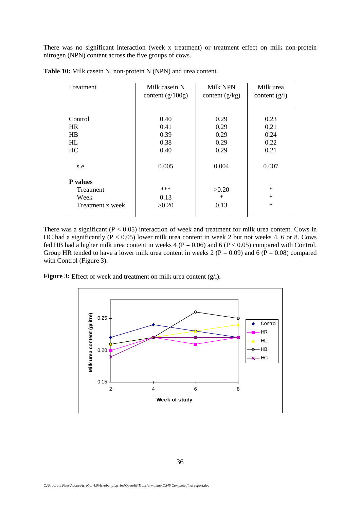There was no significant interaction (week x treatment) or treatment effect on milk non-protein nitrogen (NPN) content across the five groups of cows.

| Treatment                                                | Milk casein N        | Milk NPN                | Milk urea                  |
|----------------------------------------------------------|----------------------|-------------------------|----------------------------|
|                                                          | content $(g/100g)$   | content $(g/kg)$        | content $(g/l)$            |
| Control                                                  | 0.40                 | 0.29                    | 0.23                       |
| <b>HR</b>                                                | 0.41                 | 0.29                    | 0.21                       |
| <b>HB</b>                                                | 0.39                 | 0.29                    | 0.24                       |
| HL                                                       | 0.38                 | 0.29                    | 0.22                       |
| HC                                                       | 0.40                 | 0.29                    | 0.21                       |
| s.e.                                                     | 0.005                | 0.004                   | 0.007                      |
| <b>P</b> values<br>Treatment<br>Week<br>Treatment x week | ***<br>0.13<br>>0.20 | >0.20<br>$\ast$<br>0.13 | $\ast$<br>$\ast$<br>$\ast$ |

**Table 10:** Milk casein N, non-protein N (NPN) and urea content.

There was a significant  $(P < 0.05)$  interaction of week and treatment for milk urea content. Cows in HC had a significantly ( $P < 0.05$ ) lower milk urea content in week 2 but not weeks 4, 6 or 8. Cows fed HB had a higher milk urea content in weeks 4 ( $P = 0.06$ ) and 6 ( $P < 0.05$ ) compared with Control. Group HR tended to have a lower milk urea content in weeks 2 ( $P = 0.09$ ) and 6 ( $P = 0.08$ ) compared with Control (Figure 3).

**Figure 3:** Effect of week and treatment on milk urea content (g/l).

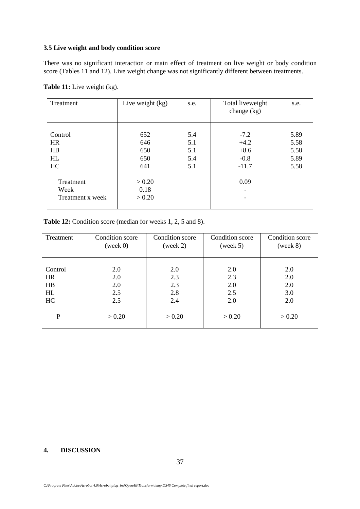#### **3.5 Live weight and body condition score**

There was no significant interaction or main effect of treatment on live weight or body condition score (Tables 11 and 12). Live weight change was not significantly different between treatments.

| Treatment                              | Live weight $(kg)$<br>s.e.      |                                 | Total liveweight<br>change $(kg)$               | s.e.                                 |
|----------------------------------------|---------------------------------|---------------------------------|-------------------------------------------------|--------------------------------------|
| Control<br><b>HR</b><br>HB<br>HL<br>HC | 652<br>646<br>650<br>650<br>641 | 5.4<br>5.1<br>5.1<br>5.4<br>5.1 | $-7.2$<br>$+4.2$<br>$+8.6$<br>$-0.8$<br>$-11.7$ | 5.89<br>5.58<br>5.58<br>5.89<br>5.58 |
| Treatment<br>Week<br>Treatment x week  | > 0.20<br>0.18<br>> 0.20        |                                 | 0.09                                            |                                      |

Table 11: Live weight (kg).

## Table 12: Condition score (median for weeks 1, 2, 5 and 8).

| Treatment   | Condition score | Condition score | Condition score | Condition score |
|-------------|-----------------|-----------------|-----------------|-----------------|
|             | (week 0)        | (week 2)        | (week 5)        | (week 8)        |
| Control     | 2.0             | 2.0             | 2.0             | 2.0             |
| <b>HR</b>   | 2.0             | 2.3             | 2.3             | 2.0             |
| HB          | 2.0             | 2.3             | 2.0             | 2.0             |
| HL          | 2.5             | 2.8             | 2.5             | 3.0             |
| HC          | 2.5             | 2.4             | 2.0             | 2.0             |
| $\mathbf P$ | > 0.20          | > 0.20          | > 0.20          | > 0.20          |

## **4. DISCUSSION**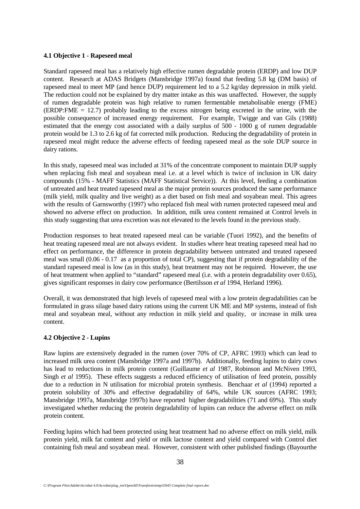## **4.1 Objective 1 - Rapeseed meal**

Standard rapeseed meal has a relatively high effective rumen degradable protein (ERDP) and low DUP content. Research at ADAS Bridgets (Mansbridge 1997a) found that feeding 5.8 kg (DM basis) of rapeseed meal to meet MP (and hence DUP) requirement led to a 5.2 kg/day depression in milk yield. The reduction could not be explained by dry matter intake as this was unaffected. However, the supply of rumen degradable protein was high relative to rumen fermentable metabolisable energy (FME) (ERDP:FME = 12.7) probably leading to the excess nitrogen being excreted in the urine, with the possible consequence of increased energy requirement. For example, Twigge and van Gils (1988) estimated that the energy cost associated with a daily surplus of 500 - 1000 g of rumen degradable protein would be 1.3 to 2.6 kg of fat corrected milk production. Reducing the degradability of protein in rapeseed meal might reduce the adverse effects of feeding rapeseed meal as the sole DUP source in dairy rations.

In this study, rapeseed meal was included at 31% of the concentrate component to maintain DUP supply when replacing fish meal and soyabean meal i.e. at a level which is twice of inclusion in UK dairy compounds (15% - MAFF Statistics (MAFF Statistical Service)). At this level, feeding a combination of untreated and heat treated rapeseed meal as the major protein sources produced the same performance (milk yield, milk quality and live weight) as a diet based on fish meal and soyabean meal. This agrees with the results of Garnsworthy (1997) who replaced fish meal with rumen protected rapeseed meal and showed no adverse effect on production. In addition, milk urea content remained at Control levels in this study suggesting that urea excretion was not elevated to the levels found in the previous study.

Production responses to heat treated rapeseed meal can be variable (Tuori 1992), and the benefits of heat treating rapeseed meal are not always evident. In studies where heat treating rapeseed meal had no effect on performance, the difference in protein degradability between untreated and treated rapeseed meal was small (0.06 - 0.17 as a proportion of total CP), suggesting that if protein degradability of the standard rapeseed meal is low (as in this study), heat treatment may not be required. However, the use of heat treatment when applied to "standard" rapeseed meal (i.e. with a protein degradability over 0.65), gives significant responses in dairy cow performance (Bertilsson *et al* 1994, Herland 1996).

Overall, it was demonstrated that high levels of rapeseed meal with a low protein degradabilities can be formulated in grass silage based dairy rations using the current UK ME and MP systems, instead of fish meal and soyabean meal, without any reduction in milk yield and quality, or increase in milk urea content.

# **4.2 Objective 2 - Lupins**

Raw lupins are extensively degraded in the rumen (over 70% of CP, AFRC 1993) which can lead to increased milk urea content (Mansbridge 1997a and 1997b). Additionally, feeding lupins to dairy cows has lead to reductions in milk protein content (Guillaume *et al* 1987, Robinson and McNiven 1993, Singh *et al* 1995). These effects suggests a reduced efficiency of utilisation of feed protein, possibly due to a reduction in N utilisation for microbial protein synthesis. Benchaar *et al* (1994) reported a protein solubility of 30% and effective degradability of 64%, while UK sources (AFRC 1993; Mansbridge 1997a, Mansbridge 1997b) have reported higher degradabilities (71 and 69%). This study investigated whether reducing the protein degradability of lupins can reduce the adverse effect on milk protein content.

Feeding lupins which had been protected using heat treatment had no adverse effect on milk yield, milk protein yield, milk fat content and yield or milk lactose content and yield compared with Control diet containing fish meal and soyabean meal. However, consistent with other published findings (Bayourthe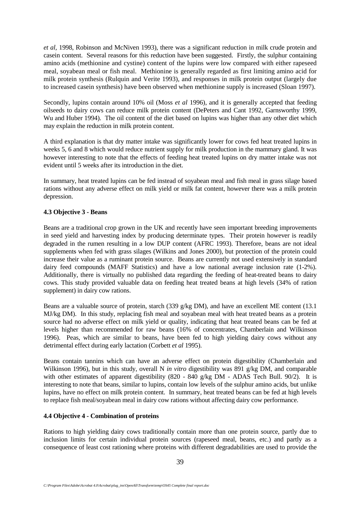*et al,* 1998, Robinson and McNiven 1993), there was a significant reduction in milk crude protein and casein content. Several reasons for this reduction have been suggested. Firstly, the sulphur containing amino acids (methionine and cystine) content of the lupins were low compared with either rapeseed meal, soyabean meal or fish meal. Methionine is generally regarded as first limiting amino acid for milk protein synthesis (Rulquin and Verite 1993), and responses in milk protein output (largely due to increased casein synthesis) have been observed when methionine supply is increased (Sloan 1997).

Secondly, lupins contain around 10% oil (Moss *et al* 1996), and it is generally accepted that feeding oilseeds to dairy cows can reduce milk protein content (DePeters and Cant 1992, Garnsworthy 1999, Wu and Huber 1994). The oil content of the diet based on lupins was higher than any other diet which may explain the reduction in milk protein content.

A third explanation is that dry matter intake was significantly lower for cows fed heat treated lupins in weeks 5, 6 and 8 which would reduce nutrient supply for milk production in the mammary gland. It was however interesting to note that the effects of feeding heat treated lupins on dry matter intake was not evident until 5 weeks after its introduction in the diet.

In summary, heat treated lupins can be fed instead of soyabean meal and fish meal in grass silage based rations without any adverse effect on milk yield or milk fat content, however there was a milk protein depression.

## **4.3 Objective 3 - Beans**

Beans are a traditional crop grown in the UK and recently have seen important breeding improvements in seed yield and harvesting index by producing determinate types. Their protein however is readily degraded in the rumen resulting in a low DUP content (AFRC 1993). Therefore, beans are not ideal supplements when fed with grass silages (Wilkins and Jones 2000), but protection of the protein could increase their value as a ruminant protein source. Beans are currently not used extensively in standard dairy feed compounds (MAFF Statistics) and have a low national average inclusion rate (1-2%). Additionally, there is virtually no published data regarding the feeding of heat-treated beans to dairy cows. This study provided valuable data on feeding heat treated beans at high levels (34% of ration supplement) in dairy cow rations.

Beans are a valuable source of protein, starch (339 g/kg DM), and have an excellent ME content (13.1 MJ/kg DM). In this study, replacing fish meal and soyabean meal with heat treated beans as a protein source had no adverse effect on milk yield or quality, indicating that heat treated beans can be fed at levels higher than recommended for raw beans (16% of concentrates, Chamberlain and Wilkinson 1996). Peas, which are similar to beans, have been fed to high yielding dairy cows without any detrimental effect during early lactation (Corbett *et al* 1995).

Beans contain tannins which can have an adverse effect on protein digestibility (Chamberlain and Wilkinson 1996), but in this study, overall N *in vitro* digestibility was 891 g/kg DM, and comparable with other estimates of apparent digestibility (820 - 840 g/kg DM - ADAS Tech Bull. 90/2). It is interesting to note that beans, similar to lupins, contain low levels of the sulphur amino acids, but unlike lupins, have no effect on milk protein content. In summary, heat treated beans can be fed at high levels to replace fish meal/soyabean meal in dairy cow rations without affecting dairy cow performance.

## **4.4 Objective 4 - Combination of proteins**

Rations to high yielding dairy cows traditionally contain more than one protein source, partly due to inclusion limits for certain individual protein sources (rapeseed meal, beans, etc.) and partly as a consequence of least cost rationing where proteins with different degradabilities are used to provide the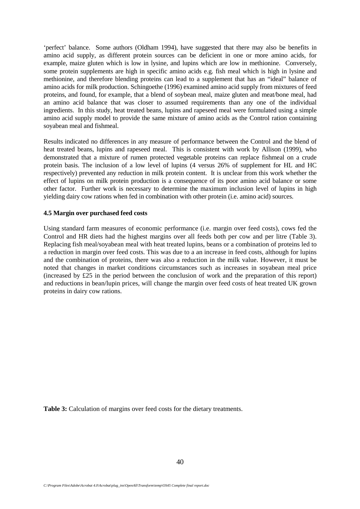'perfect' balance. Some authors (Oldham 1994), have suggested that there may also be benefits in amino acid supply, as different protein sources can be deficient in one or more amino acids, for example, maize gluten which is low in lysine, and lupins which are low in methionine. Conversely, some protein supplements are high in specific amino acids e.g. fish meal which is high in lysine and methionine, and therefore blending proteins can lead to a supplement that has an "ideal" balance of amino acids for milk production. Schingoethe (1996) examined amino acid supply from mixtures of feed proteins, and found, for example, that a blend of soybean meal, maize gluten and meat/bone meal, had an amino acid balance that was closer to assumed requirements than any one of the individual ingredients. In this study, heat treated beans, lupins and rapeseed meal were formulated using a simple amino acid supply model to provide the same mixture of amino acids as the Control ration containing soyabean meal and fishmeal.

Results indicated no differences in any measure of performance between the Control and the blend of heat treated beans, lupins and rapeseed meal. This is consistent with work by Allison (1999), who demonstrated that a mixture of rumen protected vegetable proteins can replace fishmeal on a crude protein basis. The inclusion of a low level of lupins (4 versus 26% of supplement for HL and HC respectively) prevented any reduction in milk protein content. It is unclear from this work whether the effect of lupins on milk protein production is a consequence of its poor amino acid balance or some other factor. Further work is necessary to determine the maximum inclusion level of lupins in high yielding dairy cow rations when fed in combination with other protein (i.e. amino acid) sources.

## **4.5 Margin over purchased feed costs**

Using standard farm measures of economic performance (i.e. margin over feed costs), cows fed the Control and HR diets had the highest margins over all feeds both per cow and per litre (Table 3). Replacing fish meal/soyabean meal with heat treated lupins, beans or a combination of proteins led to a reduction in margin over feed costs. This was due to a an increase in feed costs, although for lupins and the combination of proteins, there was also a reduction in the milk value. However, it must be noted that changes in market conditions circumstances such as increases in soyabean meal price (increased by £25 in the period between the conclusion of work and the preparation of this report) and reductions in bean/lupin prices, will change the margin over feed costs of heat treated UK grown proteins in dairy cow rations.

**Table 3:** Calculation of margins over feed costs for the dietary treatments.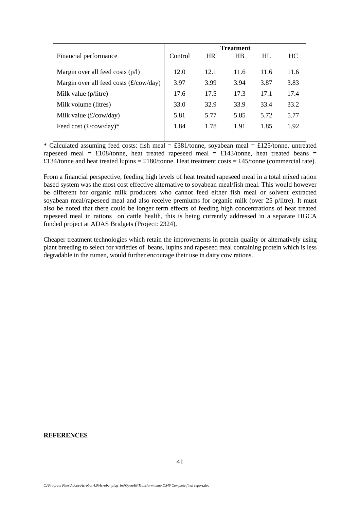|                                          |         |           | <b>Treatment</b> |           |      |
|------------------------------------------|---------|-----------|------------------|-----------|------|
| Financial performance                    | Control | <b>HR</b> | HB               | <b>HL</b> | HC.  |
|                                          |         |           |                  |           |      |
| Margin over all feed costs $(p/l)$       | 12.0    | 12.1      | 11.6             | 11.6      | 11.6 |
| Margin over all feed costs $(f/cow/day)$ | 3.97    | 3.99      | 3.94             | 3.87      | 3.83 |
| Milk value (p/litre)                     | 17.6    | 17.5      | 17.3             | 17.1      | 17.4 |
| Milk volume (litres)                     | 33.0    | 32.9      | 33.9             | 33.4      | 33.2 |
| Milk value $(f\text{/}cow/day)$          | 5.81    | 5.77      | 5.85             | 5.72      | 5.77 |
| Feed cost $(\pounds/cow/day)^*$          | 1.84    | 1.78      | 1.91             | 1.85      | 1.92 |
|                                          |         |           |                  |           |      |

\* Calculated assuming feed costs: fish meal =  $\text{\pounds}381$ /tonne, soyabean meal =  $\text{\pounds}125$ /tonne, untreated rapeseed meal =  $\text{\pounds}108$ /tonne, heat treated rapeseed meal =  $\text{\pounds}143$ /tonne, heat treated beans = £134/tonne and heat treated lupins = £180/tonne. Heat treatment costs = £45/tonne (commercial rate).

From a financial perspective, feeding high levels of heat treated rapeseed meal in a total mixed ration based system was the most cost effective alternative to soyabean meal/fish meal. This would however be different for organic milk producers who cannot feed either fish meal or solvent extracted soyabean meal/rapeseed meal and also receive premiums for organic milk (over 25 p/litre). It must also be noted that there could be longer term effects of feeding high concentrations of heat treated rapeseed meal in rations on cattle health, this is being currently addressed in a separate HGCA funded project at ADAS Bridgets (Project: 2324).

Cheaper treatment technologies which retain the improvements in protein quality or alternatively using plant breeding to select for varieties of beans, lupins and rapeseed meal containing protein which is less degradable in the rumen, would further encourage their use in dairy cow rations.

#### **REFERENCES**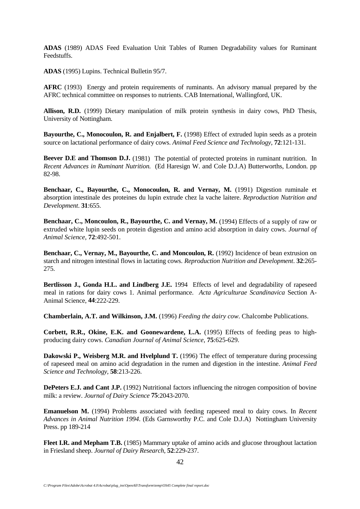**ADAS** (1989) ADAS Feed Evaluation Unit Tables of Rumen Degradability values for Ruminant Feedstuffs.

**ADAS** (1995) Lupins. Technical Bulletin 95/7.

**AFRC** (1993) Energy and protein requirements of ruminants. An advisory manual prepared by the AFRC technical committee on responses to nutrients. CAB International, Wallingford, UK.

**Allison, R.D.** (1999) Dietary manipulation of milk protein synthesis in dairy cows, PhD Thesis, University of Nottingham.

**Bayourthe, C., Monocoulon, R. and Enjalbert, F.** (1998) Effect of extruded lupin seeds as a protein source on lactational performance of dairy cows. *Animal Feed Science and Technology*, **72**:121-131.

**Beever D.E and Thomson D.J.** (1981) The potential of protected proteins in ruminant nutrition. In *Recent Advances in Ruminant Nutrition.* (Ed Haresign W. and Cole D.J.A) Butterworths, London. pp 82-98.

**Benchaar, C., Bayourthe, C., Monocoulon, R. and Vernay, M.** (1991) Digestion ruminale et absorption intestinale des proteines du lupin extrude chez la vache laitere. *Reproduction Nutrition and Development*. **31**:655.

**Benchaar, C., Moncoulon, R., Bayourthe, C. and Vernay, M.** (1994) Effects of a supply of raw or extruded white lupin seeds on protein digestion and amino acid absorption in dairy cows. *Journal of Animal Science*, **72**:492-501.

**Benchaar, C., Vernay, M., Bayourthe, C. and Moncoulon, R.** (1992) Incidence of bean extrusion on starch and nitrogen intestinal flows in lactating cows. *Reproduction Nutrition and Development*. **32**:265- 275.

**Bertlisson J., Gonda H.L. and Lindberg J.E.** 1994 Effects of level and degradability of rapeseed meal in rations for dairy cows 1. Animal performance. *Acta Agriculturae Scandinavica* Section A-Animal Science, **44**:222-229.

**Chamberlain, A.T. and Wilkinson, J.M.** (1996) *Feeding the dairy cow*. Chalcombe Publications.

**Corbett, R.R., Okine, E.K. and Goonewardene, L.A.** (1995) Effects of feeding peas to highproducing dairy cows. *Canadian Journal of Animal Science*, **75**:625-629.

**Dakowski P., Weisberg M.R. and Hyelplund T.** (1996) The effect of temperature during processing of rapeseed meal on amino acid degradation in the rumen and digestion in the intestine. *Animal Feed Science and Technology,* **58**:213-226.

**DePeters E.J. and Cant J.P.** (1992) Nutritional factors influencing the nitrogen composition of bovine milk: a review. *Journal of Dairy Science* **75**:2043-2070.

**Emanuelson M.** (1994) Problems associated with feeding rapeseed meal to dairy cows. In *Recent Advances in Animal Nutrition 1994*. (Eds Garnsworthy P.C. and Cole D.J.A) Nottingham University Press. pp 189-214

**Fleet I.R. and Mepham T.B.** (1985) Mammary uptake of amino acids and glucose throughout lactation in Friesland sheep. *Journal of Dairy Research,* **52**:229-237.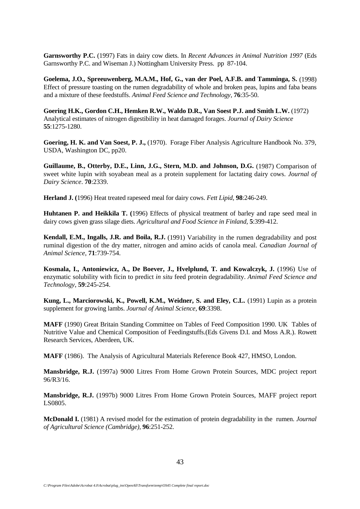**Garnsworthy P.C.** (1997) Fats in dairy cow diets. In *Recent Advances in Animal Nutrition 1997* (Eds Garnsworthy P.C. and Wiseman J.) Nottingham University Press. pp 87-104.

**Goelema, J.O., Spreeuwenberg, M.A.M., Hof, G., van der Poel, A.F.B. and Tamminga, S.** (1998) Effect of pressure toasting on the rumen degradability of whole and broken peas, lupins and faba beans and a mixture of these feedstuffs. *Animal Feed Science and Technology*, **76**:35-50.

**Goering H.K., Gordon C.H., Hemken R.W., Waldo D.R., Van Soest P.J. and Smith L.W.** (1972) Analytical estimates of nitrogen digestibility in heat damaged forages. *Journal of Dairy Science* **55**:1275-1280.

**Goering, H. K. and Van Soest, P. J.,** (1970). Forage Fiber Analysis Agriculture Handbook No. 379, USDA, Washington DC, pp20.

**Guillaume, B., Otterby, D.E., Linn, J.G., Stern, M.D. and Johnson, D.G.** (1987) Comparison of sweet white lupin with soyabean meal as a protein supplement for lactating dairy cows. *Journal of Dairy Science*. **70**:2339.

**Herland J. (**1996) Heat treated rapeseed meal for dairy cows. *Fett Lipid,* **98**:246-249.

**Huhtanen P. and Heikkila T. (**1996) Effects of physical treatment of barley and rape seed meal in dairy cows given grass silage diets. *Agricultural and Food Science in Finland,* **5**:399-412.

**Kendall, E.M., Ingalls, J.R. and Boila, R.J.** (1991) Variability in the rumen degradability and post ruminal digestion of the dry matter, nitrogen and amino acids of canola meal. *Canadian Journal of Animal Science*, **71**:739-754.

**Kosmala, I., Antoniewicz, A., De Boever, J., Hvelplund, T. and Kowalczyk, J.** (1996) Use of enzymatic solubility with ficin to predict *in situ* feed protein degradability. *Animal Feed Science and Technology*, **59**:245-254.

**Kung, L., Marciorowski, K., Powell, K.M., Weidner, S. and Eley, C.L.** (1991) Lupin as a protein supplement for growing lambs. *Journal of Animal Science,* **69**:3398.

**MAFF** (1990) Great Britain Standing Committee on Tables of Feed Composition 1990. UK Tables of Nutritive Value and Chemical Composition of Feedingstuffs.(Eds Givens D.I. and Moss A.R.). Rowett Research Services, Aberdeen, UK.

**MAFF** (1986). The Analysis of Agricultural Materials Reference Book 427, HMSO, London.

**Mansbridge, R.J.** (1997a) 9000 Litres From Home Grown Protein Sources, MDC project report 96/R3/16.

**Mansbridge, R.J.** (1997b) 9000 Litres From Home Grown Protein Sources, MAFF project report LS0805.

**McDonald I.** (1981) A revised model for the estimation of protein degradability in the rumen. *Journal of Agricultural Science (Cambridge),* **96**:251-252.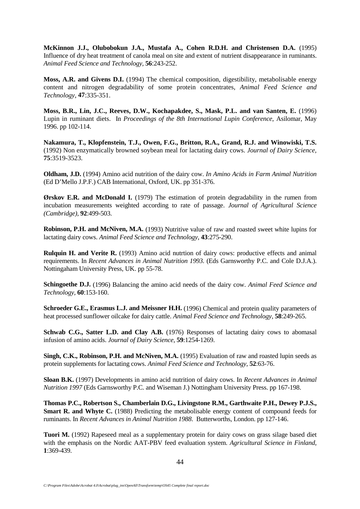**McKinnon J.J., Olubobokun J.A., Mustafa A., Cohen R.D.H. and Christensen D.A.** (1995) Influence of dry heat treatment of canola meal on site and extent of nutrient disappearance in ruminants. *Animal Feed Science and Technology,* **56**:243-252.

**Moss, A.R. and Givens D.I.** (1994) The chemical composition, digestibility, metabolisable energy content and nitrogen degradability of some protein concentrates, *Animal Feed Science and Technology*, **47**:335-351.

**Moss, B.R., Lin, J.C., Reeves, D.W., Kochapakdee, S., Mask, P.L. and van Santen, E.** (1996) Lupin in ruminant diets. In *Proceedings of the 8th International Lupin Conference*, Asilomar, May 1996. pp 102-114.

**Nakamura, T., Klopfenstein, T.J., Owen, F.G., Britton, R.A., Grand, R.J. and Winowiski, T.S.** (1992) Non enzymatically browned soybean meal for lactating dairy cows. *Journal of Dairy Science,* **75**:3519-3523.

**Oldham, J.D.** (1994) Amino acid nutrition of the dairy cow. *In Amino Acids in Farm Animal Nutrition* (Ed D'Mello J.P.F.) CAB International, Oxford, UK. pp 351-376.

**Ørskov E.R. and McDonald I.** (1979) The estimation of protein degradability in the rumen from incubation measurements weighted according to rate of passage. *Journal of Agricultural Science (Cambridge),* **92**:499-503.

**Robinson, P.H. and McNiven, M.A.** (1993) Nutritive value of raw and roasted sweet white lupins for lactating dairy cows. *Animal Feed Science and Technology*, **43**:275-290.

**Rulquin H. and Verite R.** (1993) Amino acid nutrtion of dairy cows: productive effects and animal requirements. In *Recent Advances in Animal Nutrition 1993.* (Eds Garnsworthy P.C. and Cole D.J.A.). Nottingaham University Press, UK. pp 55-78.

**Schingoethe D.J.** (1996) Balancing the amino acid needs of the dairy cow. *Animal Feed Science and Technology,* **60**:153-160.

**Schroeder G.E., Erasmus L.J. and Meissner H.H.** (1996) Chemical and protein quality parameters of heat processed sunflower oilcake for dairy cattle. *Animal Feed Science and Technology,* **58**:249-265.

**Schwab C.G., Satter L.D. and Clay A.B.** (1976) Responses of lactating dairy cows to abomasal infusion of amino acids. *Journal of Dairy Science,* **59**:1254-1269.

**Singh, C.K., Robinson, P.H. and McNiven, M.A.** (1995) Evaluation of raw and roasted lupin seeds as protein supplements for lactating cows. *Animal Feed Science and Technology*, **52**:63-76.

**Sloan B.K.** (1997) Developments in amino acid nutrition of dairy cows. In *Recent Advances in Animal Nutrition 1997* (Eds Garnsworthy P.C. and Wiseman J.) Nottingham University Press. pp 167-198.

**Thomas P.C., Robertson S., Chamberlain D.G., Livingstone R.M., Garthwaite P.H., Dewey P.J.S., Smart R. and Whyte C.** (1988) Predicting the metabolisable energy content of compound feeds for ruminants. In *Recent Advances in Animal Nutrition 1988*. Butterworths, London. pp 127-146.

**Tuori M.** (1992) Rapeseed meal as a supplementary protein for dairy cows on grass silage based diet with the emphasis on the Nordic AAT-PBV feed evaluation system. *Agricultural Science in Finland*, **1**:369-439.